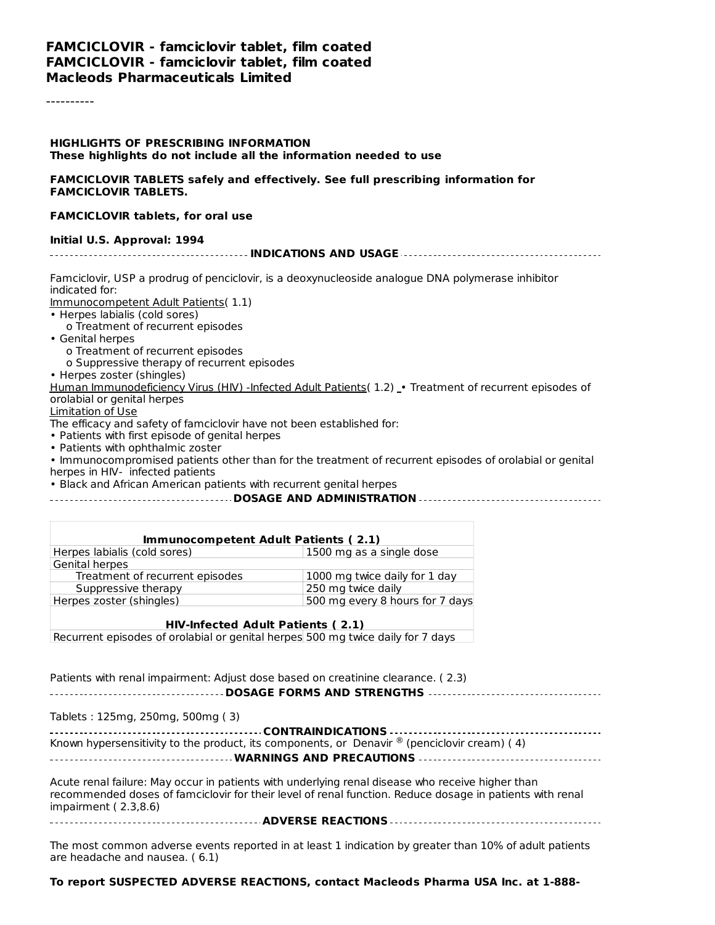#### **FAMCICLOVIR - famciclovir tablet, film coated FAMCICLOVIR - famciclovir tablet, film coated Macleods Pharmaceuticals Limited**

----------

#### **HIGHLIGHTS OF PRESCRIBING INFORMATION These highlights do not include all the information needed to use**

#### **FAMCICLOVIR TABLETS safely and effectively. See full prescribing information for FAMCICLOVIR TABLETS.**

#### **FAMCICLOVIR tablets, for oral use**

#### **Initial U.S. Approval: 1994**

**INDICATIONS AND USAGE**

Famciclovir, USP a prodrug of penciclovir, is a deoxynucleoside analogue DNA polymerase inhibitor indicated for:

Immunocompetent Adult Patients( 1.1)

- Herpes labialis (cold sores)
- o Treatment of recurrent episodes
- Genital herpes
	- o Treatment of recurrent episodes
	- o Suppressive therapy of recurrent episodes
- Herpes zoster (shingles)

Human Immunodeficiency Virus (HIV) -Infected Adult Patients( 1.2) - Treatment of recurrent episodes of orolabial or genital herpes

Limitation of Use

The efficacy and safety of famciclovir have not been established for:

• Patients with first episode of genital herpes

• Patients with ophthalmic zoster

• Immunocompromised patients other than for the treatment of recurrent episodes of orolabial or genital herpes in HIV- infected patients

• Black and African American patients with recurrent genital herpes

#### **DOSAGE AND ADMINISTRATION**

| Immunocompetent Adult Patients (2.1) |                                 |  |  |  |
|--------------------------------------|---------------------------------|--|--|--|
| Herpes labialis (cold sores)         | 1500 mg as a single dose        |  |  |  |
| Genital herpes                       |                                 |  |  |  |
| Treatment of recurrent episodes      | 1000 mg twice daily for 1 day   |  |  |  |
| Suppressive therapy                  | 250 mg twice daily              |  |  |  |
| Herpes zoster (shingles)             | 500 mg every 8 hours for 7 days |  |  |  |
|                                      |                                 |  |  |  |

**HIV-Infected Adult Patients ( 2.1)** Recurrent episodes of orolabial or genital herpes 500 mg twice daily for 7 days

Patients with renal impairment: Adjust dose based on creatinine clearance. ( 2.3) **DOSAGE FORMS AND STRENGTHS**

Tablets : 125mg, 250mg, 500mg ( 3)

| Known hypersensitivity to the product, its components, or Denavir $\mathcal{O}(n)$ (penciclovir cream) (4) |  |  |  |  |
|------------------------------------------------------------------------------------------------------------|--|--|--|--|
|                                                                                                            |  |  |  |  |
|                                                                                                            |  |  |  |  |

Acute renal failure: May occur in patients with underlying renal disease who receive higher than recommended doses of famciclovir for their level of renal function. Reduce dosage in patients with renal impairment ( 2.3,8.6)

**ADVERSE REACTIONS**

The most common adverse events reported in at least 1 indication by greater than 10% of adult patients are headache and nausea. ( 6.1)

#### **To report SUSPECTED ADVERSE REACTIONS, contact Macleods Pharma USA Inc. at 1-888-**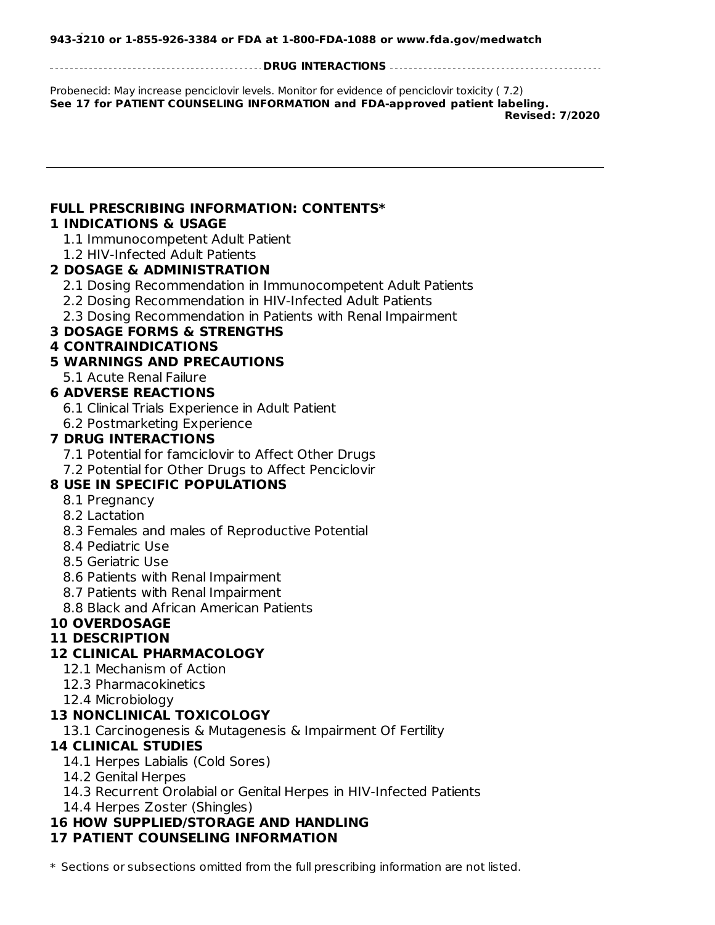**DRUG INTERACTIONS**

Probenecid: May increase penciclovir levels. Monitor for evidence of penciclovir toxicity ( 7.2) **See 17 for PATIENT COUNSELING INFORMATION and FDA-approved patient labeling. Revised: 7/2020**

# **FULL PRESCRIBING INFORMATION: CONTENTS\***

#### **1 INDICATIONS & USAGE**

1.1 Immunocompetent Adult Patient

1.2 HIV-Infected Adult Patients

#### **2 DOSAGE & ADMINISTRATION**

2.1 Dosing Recommendation in Immunocompetent Adult Patients

2.2 Dosing Recommendation in HIV-Infected Adult Patients

2.3 Dosing Recommendation in Patients with Renal Impairment

## **3 DOSAGE FORMS & STRENGTHS**

#### **4 CONTRAINDICATIONS**

#### **5 WARNINGS AND PRECAUTIONS**

5.1 Acute Renal Failure

#### **6 ADVERSE REACTIONS**

6.1 Clinical Trials Experience in Adult Patient

6.2 Postmarketing Experience

#### **7 DRUG INTERACTIONS**

7.1 Potential for famciclovir to Affect Other Drugs

7.2 Potential for Other Drugs to Affect Penciclovir

#### **8 USE IN SPECIFIC POPULATIONS**

- 8.1 Pregnancy
- 8.2 Lactation
- 8.3 Females and males of Reproductive Potential
- 8.4 Pediatric Use
- 8.5 Geriatric Use
- 8.6 Patients with Renal Impairment
- 8.7 Patients with Renal Impairment
- 8.8 Black and African American Patients

# **10 OVERDOSAGE**

## **11 DESCRIPTION**

#### **12 CLINICAL PHARMACOLOGY**

- 12.1 Mechanism of Action
- 12.3 Pharmacokinetics
- 12.4 Microbiology

#### **13 NONCLINICAL TOXICOLOGY**

13.1 Carcinogenesis & Mutagenesis & Impairment Of Fertility

#### **14 CLINICAL STUDIES**

- 14.1 Herpes Labialis (Cold Sores)
- 14.2 Genital Herpes
- 14.3 Recurrent Orolabial or Genital Herpes in HIV-Infected Patients
- 14.4 Herpes Zoster (Shingles)

# **16 HOW SUPPLIED/STORAGE AND HANDLING**

# **17 PATIENT COUNSELING INFORMATION**

\* Sections or subsections omitted from the full prescribing information are not listed.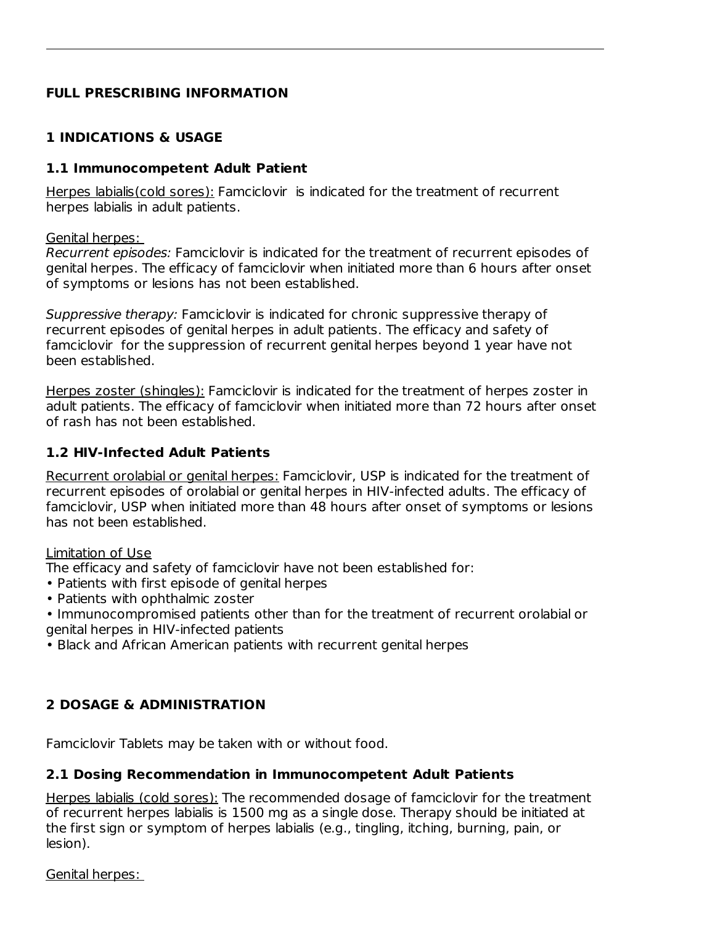## **FULL PRESCRIBING INFORMATION**

## **1 INDICATIONS & USAGE**

#### **1.1 Immunocompetent Adult Patient**

Herpes labialis(cold sores): Famciclovir is indicated for the treatment of recurrent herpes labialis in adult patients.

Genital herpes:

Recurrent episodes: Famciclovir is indicated for the treatment of recurrent episodes of genital herpes. The efficacy of famciclovir when initiated more than 6 hours after onset of symptoms or lesions has not been established.

Suppressive therapy: Famciclovir is indicated for chronic suppressive therapy of recurrent episodes of genital herpes in adult patients. The efficacy and safety of famciclovir for the suppression of recurrent genital herpes beyond 1 year have not been established.

Herpes zoster (shingles): Famciclovir is indicated for the treatment of herpes zoster in adult patients. The efficacy of famciclovir when initiated more than 72 hours after onset of rash has not been established.

## **1.2 HIV-Infected Adult Patients**

Recurrent orolabial or genital herpes: Famciclovir, USP is indicated for the treatment of recurrent episodes of orolabial or genital herpes in HIV-infected adults. The efficacy of famciclovir, USP when initiated more than 48 hours after onset of symptoms or lesions has not been established.

#### Limitation of Use

The efficacy and safety of famciclovir have not been established for:

- Patients with first episode of genital herpes
- Patients with ophthalmic zoster
- Immunocompromised patients other than for the treatment of recurrent orolabial or genital herpes in HIV-infected patients
- Black and African American patients with recurrent genital herpes

## **2 DOSAGE & ADMINISTRATION**

Famciclovir Tablets may be taken with or without food.

#### **2.1 Dosing Recommendation in Immunocompetent Adult Patients**

Herpes labialis (cold sores): The recommended dosage of famciclovir for the treatment of recurrent herpes labialis is 1500 mg as a single dose. Therapy should be initiated at the first sign or symptom of herpes labialis (e.g., tingling, itching, burning, pain, or lesion).

Genital herpes: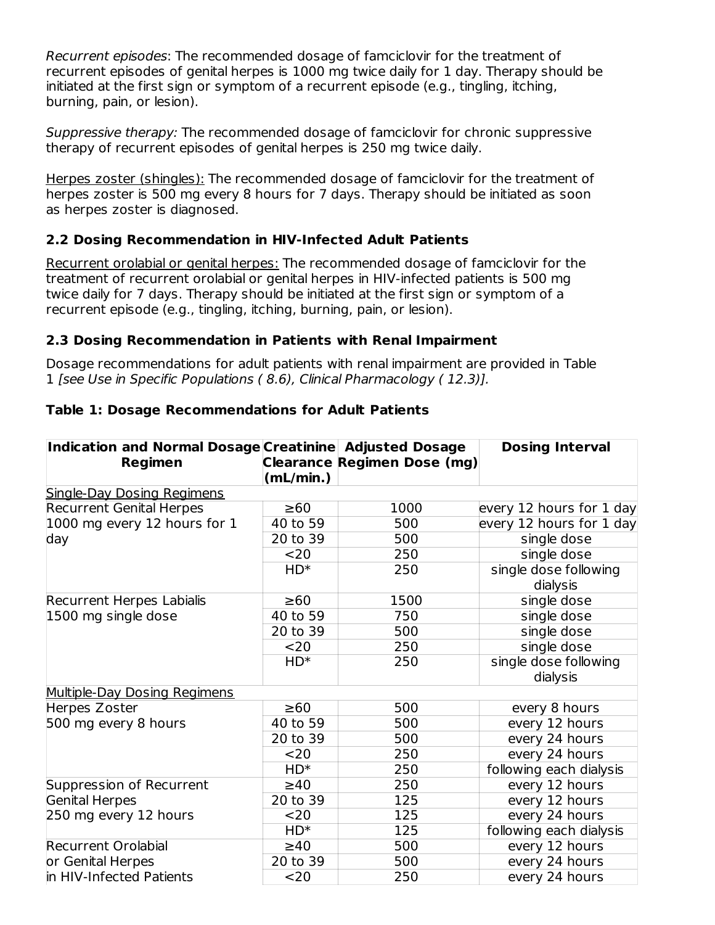Recurrent episodes: The recommended dosage of famciclovir for the treatment of recurrent episodes of genital herpes is 1000 mg twice daily for 1 day. Therapy should be initiated at the first sign or symptom of a recurrent episode (e.g., tingling, itching, burning, pain, or lesion).

Suppressive therapy: The recommended dosage of famciclovir for chronic suppressive therapy of recurrent episodes of genital herpes is 250 mg twice daily.

Herpes zoster (shingles): The recommended dosage of famciclovir for the treatment of herpes zoster is 500 mg every 8 hours for 7 days. Therapy should be initiated as soon as herpes zoster is diagnosed.

## **2.2 Dosing Recommendation in HIV-Infected Adult Patients**

Recurrent orolabial or genital herpes: The recommended dosage of famciclovir for the treatment of recurrent orolabial or genital herpes in HIV-infected patients is 500 mg twice daily for 7 days. Therapy should be initiated at the first sign or symptom of a recurrent episode (e.g., tingling, itching, burning, pain, or lesion).

#### **2.3 Dosing Recommendation in Patients with Renal Impairment**

Dosage recommendations for adult patients with renal impairment are provided in Table 1 [see Use in Specific Populations ( 8.6), Clinical Pharmacology ( 12.3)].

| Indication and Normal Dosage Creatinine Adjusted Dosage<br><b>Regimen</b> | (mL/min.) | <b>Clearance Regimen Dose (mg)</b> | <b>Dosing Interval</b>   |
|---------------------------------------------------------------------------|-----------|------------------------------------|--------------------------|
| <b>Single-Day Dosing Regimens</b>                                         |           |                                    |                          |
| <b>Recurrent Genital Herpes</b>                                           | $\geq 60$ | 1000                               | every 12 hours for 1 day |
| 1000 mg every 12 hours for 1                                              | 40 to 59  | 500                                | every 12 hours for 1 day |
| day                                                                       | 20 to 39  | 500                                | single dose              |
|                                                                           | $20$      | 250                                | single dose              |
|                                                                           | $HD^*$    | 250                                | single dose following    |
|                                                                           |           |                                    | dialysis                 |
| Recurrent Herpes Labialis                                                 | $\geq 60$ | 1500                               | single dose              |
| 1500 mg single dose                                                       | 40 to 59  | 750                                | single dose              |
|                                                                           | 20 to 39  | 500                                | single dose              |
|                                                                           | $20$      | 250                                | single dose              |
|                                                                           | $HD^*$    | 250                                | single dose following    |
|                                                                           |           |                                    | dialysis                 |
| Multiple-Day Dosing Regimens                                              |           |                                    |                          |
| Herpes Zoster                                                             | $\geq 60$ | 500                                | every 8 hours            |
| 500 mg every 8 hours                                                      | 40 to 59  | 500                                | every 12 hours           |
|                                                                           | 20 to 39  | 500                                | every 24 hours           |
|                                                                           | $20$      | 250                                | every 24 hours           |
|                                                                           | $HD^*$    | 250                                | following each dialysis  |
| Suppression of Recurrent                                                  | $\geq 40$ | 250                                | every 12 hours           |
| <b>Genital Herpes</b>                                                     | 20 to 39  | 125                                | every 12 hours           |
| 250 mg every 12 hours                                                     | $20$      | 125                                | every 24 hours           |
|                                                                           | $HD^*$    | 125                                | following each dialysis  |
| <b>Recurrent Orolabial</b>                                                | $\geq 40$ | 500                                | every 12 hours           |
| or Genital Herpes                                                         | 20 to 39  | 500                                | every 24 hours           |
| in HIV-Infected Patients                                                  | $20$      | 250                                | every 24 hours           |

#### **Table 1: Dosage Recommendations for Adult Patients**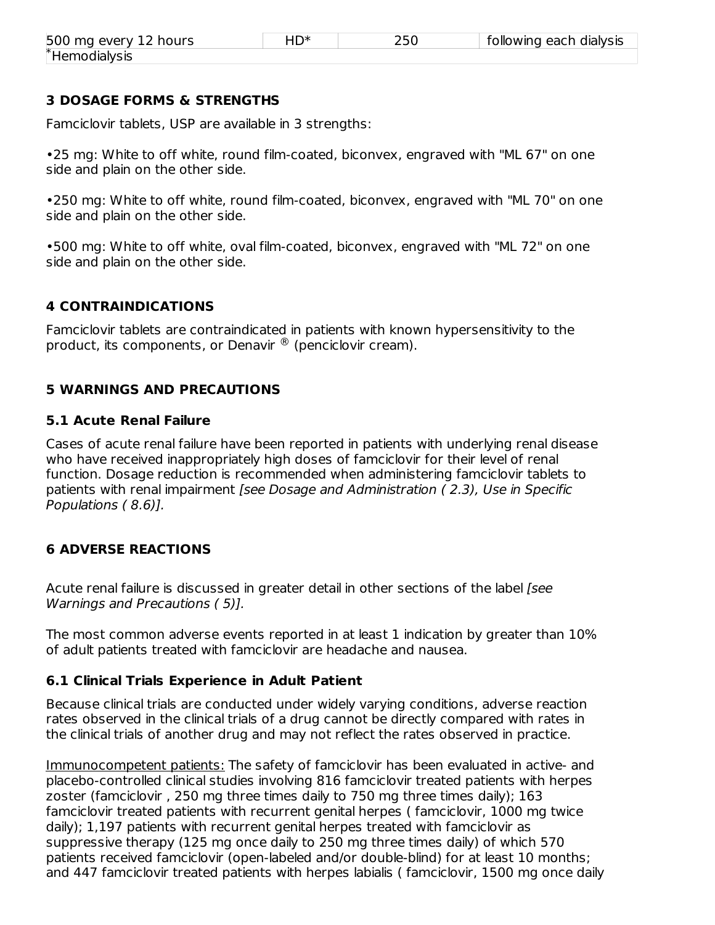| 500 mg every 12 hours | $HD^*$ | 250 | following each dialysis |
|-----------------------|--------|-----|-------------------------|
| *Hemodialysis         |        |     |                         |

#### **3 DOSAGE FORMS & STRENGTHS**

Famciclovir tablets, USP are available in 3 strengths:

•25 mg: White to off white, round film-coated, biconvex, engraved with "ML 67" on one side and plain on the other side.

•250 mg: White to off white, round film-coated, biconvex, engraved with "ML 70" on one side and plain on the other side.

•500 mg: White to off white, oval film-coated, biconvex, engraved with "ML 72" on one side and plain on the other side.

#### **4 CONTRAINDICATIONS**

Famciclovir tablets are contraindicated in patients with known hypersensitivity to the product, its components, or Denavir  $^\circledR$  (penciclovir cream).

#### **5 WARNINGS AND PRECAUTIONS**

#### **5.1 Acute Renal Failure**

Cases of acute renal failure have been reported in patients with underlying renal disease who have received inappropriately high doses of famciclovir for their level of renal function. Dosage reduction is recommended when administering famciclovir tablets to patients with renal impairment [see Dosage and Administration ( 2.3), Use in Specific Populations ( 8.6)].

#### **6 ADVERSE REACTIONS**

Acute renal failure is discussed in greater detail in other sections of the label *[see* Warnings and Precautions ( 5)].

The most common adverse events reported in at least 1 indication by greater than 10% of adult patients treated with famciclovir are headache and nausea.

#### **6.1 Clinical Trials Experience in Adult Patient**

Because clinical trials are conducted under widely varying conditions, adverse reaction rates observed in the clinical trials of a drug cannot be directly compared with rates in the clinical trials of another drug and may not reflect the rates observed in practice.

Immunocompetent patients: The safety of famciclovir has been evaluated in active- and placebo-controlled clinical studies involving 816 famciclovir treated patients with herpes zoster (famciclovir , 250 mg three times daily to 750 mg three times daily); 163 famciclovir treated patients with recurrent genital herpes ( famciclovir, 1000 mg twice daily); 1,197 patients with recurrent genital herpes treated with famciclovir as suppressive therapy (125 mg once daily to 250 mg three times daily) of which 570 patients received famciclovir (open-labeled and/or double-blind) for at least 10 months; and 447 famciclovir treated patients with herpes labialis ( famciclovir, 1500 mg once daily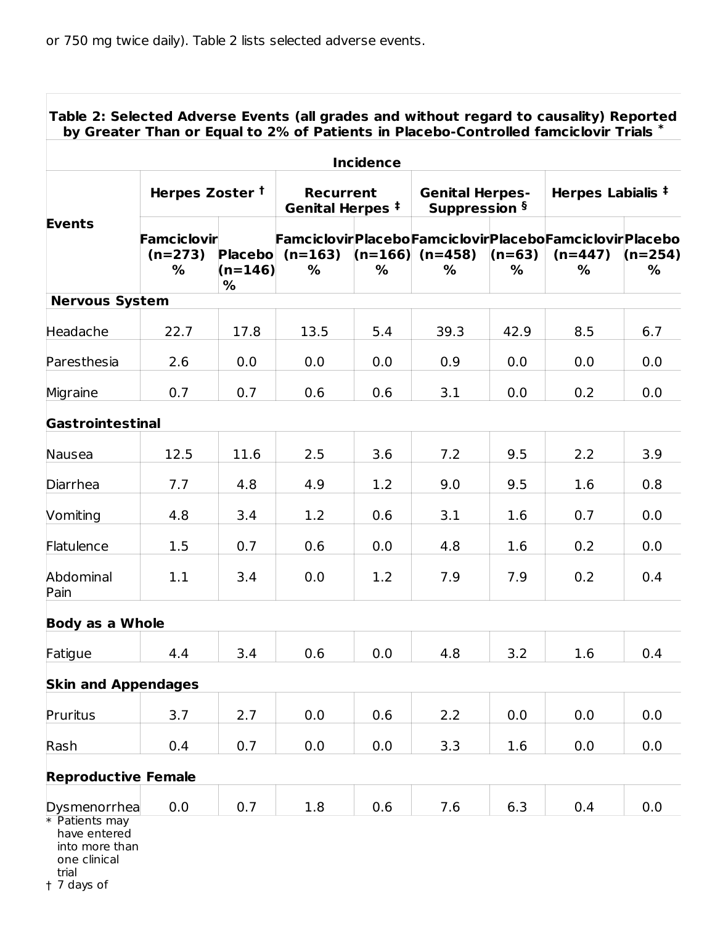|                                |                                      |                            |                                                 | <b>Incidence</b> |                                         |               |                                                                          |                |
|--------------------------------|--------------------------------------|----------------------------|-------------------------------------------------|------------------|-----------------------------------------|---------------|--------------------------------------------------------------------------|----------------|
|                                | Herpes Zoster <sup>†</sup>           |                            | <b>Recurrent</b><br>Genital Herpes <sup>‡</sup> |                  | <b>Genital Herpes-</b><br>Suppression § |               | Herpes Labialis <sup>‡</sup>                                             |                |
| <b>Events</b>                  | <b>Famciclovir</b><br>$(n=273)$<br>% | $(n=146)$<br>$\frac{9}{6}$ | $Placebo$ (n=163)<br>%                          | $\%$             | $(n=166)$ $(n=458)$<br>%                | $(n=63)$<br>% | FamciclovirPlaceboFamciclovirPlaceboFamciclovirPlacebo<br>$(n=447)$<br>% | $(n=254)$<br>% |
| <b>Nervous System</b>          |                                      |                            |                                                 |                  |                                         |               |                                                                          |                |
| Headache                       | 22.7                                 | 17.8                       | 13.5                                            | 5.4              | 39.3                                    | 42.9          | 8.5                                                                      | 6.7            |
| Paresthesia                    | 2.6                                  | 0.0                        | 0.0                                             | 0.0              | 0.9                                     | 0.0           | 0.0                                                                      | 0.0            |
| Migraine                       | 0.7                                  | 0.7                        | 0.6                                             | 0.6              | 3.1                                     | 0.0           | 0.2                                                                      | 0.0            |
| <b>Gastrointestinal</b>        |                                      |                            |                                                 |                  |                                         |               |                                                                          |                |
| Nausea                         | 12.5                                 | 11.6                       | 2.5                                             | 3.6              | 7.2                                     | 9.5           | 2.2                                                                      | 3.9            |
| Diarrhea                       | 7.7                                  | 4.8                        | 4.9                                             | 1.2              | 9.0                                     | 9.5           | 1.6                                                                      | 0.8            |
| Vomiting                       | 4.8                                  | 3.4                        | 1.2                                             | 0.6              | 3.1                                     | 1.6           | 0.7                                                                      | 0.0            |
| Flatulence                     | 1.5                                  | 0.7                        | 0.6                                             | 0.0              | 4.8                                     | 1.6           | 0.2                                                                      | 0.0            |
| Abdominal<br>Pain              | 1.1                                  | 3.4                        | 0.0                                             | 1.2              | 7.9                                     | 7.9           | 0.2                                                                      | 0.4            |
| <b>Body as a Whole</b>         |                                      |                            |                                                 |                  |                                         |               |                                                                          |                |
| Fatigue                        | 4.4                                  | 3.4                        | 0.6                                             | 0.0              | 4.8                                     | 3.2           | $1.6\,$                                                                  | 0.4            |
| <b>Skin and Appendages</b>     |                                      |                            |                                                 |                  |                                         |               |                                                                          |                |
| Pruritus                       | 3.7                                  | 2.7                        | 0.0                                             | 0.6              | 2.2                                     | 0.0           | 0.0                                                                      | 0.0            |
| Rash                           | 0.4                                  | 0.7                        | 0.0                                             | 0.0              | 3.3                                     | 1.6           | 0.0                                                                      | 0.0            |
| <b>Reproductive Female</b>     |                                      |                            |                                                 |                  |                                         |               |                                                                          |                |
| Dysmenorrhea<br>* Patients may | 0.0                                  | 0.7                        | 1.8                                             | 0.6              | 7.6                                     | 6.3           | 0.4                                                                      | 0.0            |

one clinical

trial

† 7 days of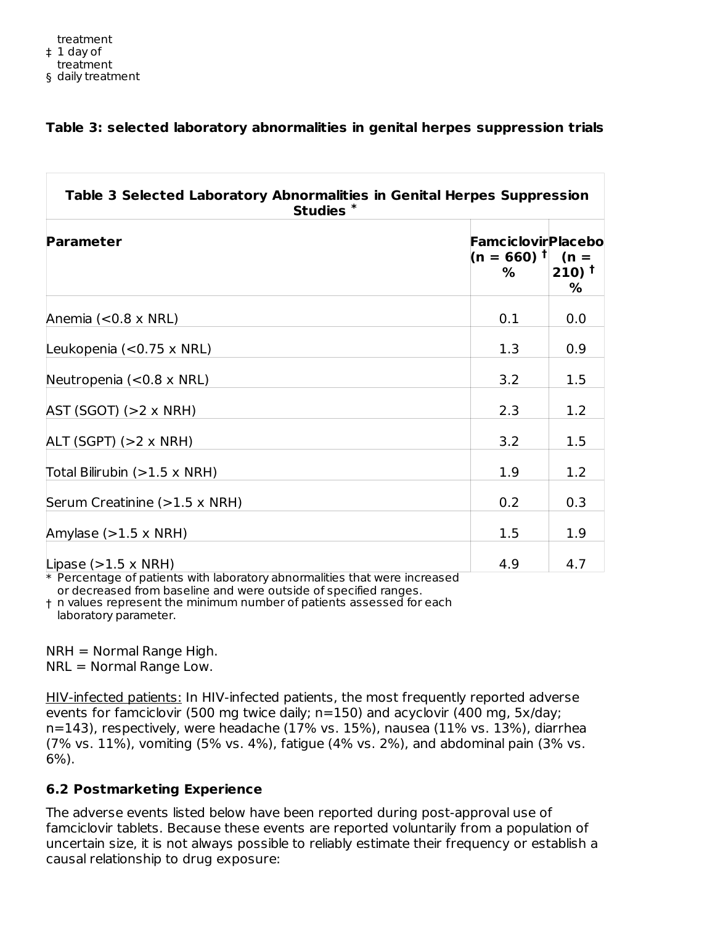#### **Table 3: selected laboratory abnormalities in genital herpes suppression trials**

| <b>Parameter</b>                                                         | $(n = 660)$ <sup>†</sup><br>% | <b>Famciclovir Placebo</b><br>$(n =$<br>$210$ <sup>t</sup><br>% |
|--------------------------------------------------------------------------|-------------------------------|-----------------------------------------------------------------|
| Anemia $(<0.8 \times NRL)$                                               | 0.1                           | 0.0                                                             |
| Leukopenia $(<0.75 \times NRL)$                                          | 1.3                           | 0.9                                                             |
| Neutropenia $(<0.8 \times NRL)$                                          | 3.2                           | 1.5                                                             |
| $AST (SGOT) (>2 \times NRH)$                                             | 2.3                           | 1.2                                                             |
| $ALT (SGPT) ( > 2 \times NRH)$                                           | 3.2                           | 1.5                                                             |
| Total Bilirubin $(>1.5 \times \text{NRH})$                               | 1.9                           | 1.2                                                             |
| Serum Creatinine (>1.5 x NRH)                                            | 0.2                           | 0.3                                                             |
| Amylase $(>1.5 \times \text{NRH})$                                       | 1.5                           | 1.9                                                             |
| Lipase $(>1.5 \times \text{NRH})$<br>$-21$ 1 1 $-1$<br>$11.2 - 11.1 - 1$ | 4.9                           | 4.7                                                             |

 $\ast$  Percentage of patients with laboratory abnormalities that were increased or decreased from baseline and were outside of specified ranges.

† n values represent the minimum number of patients assessed for each laboratory parameter.

NRH = Normal Range High. NRL = Normal Range Low.

HIV-infected patients: In HIV-infected patients, the most frequently reported adverse events for famciclovir (500 mg twice daily; n=150) and acyclovir (400 mg, 5x/day; n=143), respectively, were headache (17% vs. 15%), nausea (11% vs. 13%), diarrhea (7% vs. 11%), vomiting (5% vs. 4%), fatigue (4% vs. 2%), and abdominal pain (3% vs. 6%).

## **6.2 Postmarketing Experience**

The adverse events listed below have been reported during post-approval use of famciclovir tablets. Because these events are reported voluntarily from a population of uncertain size, it is not always possible to reliably estimate their frequency or establish a causal relationship to drug exposure: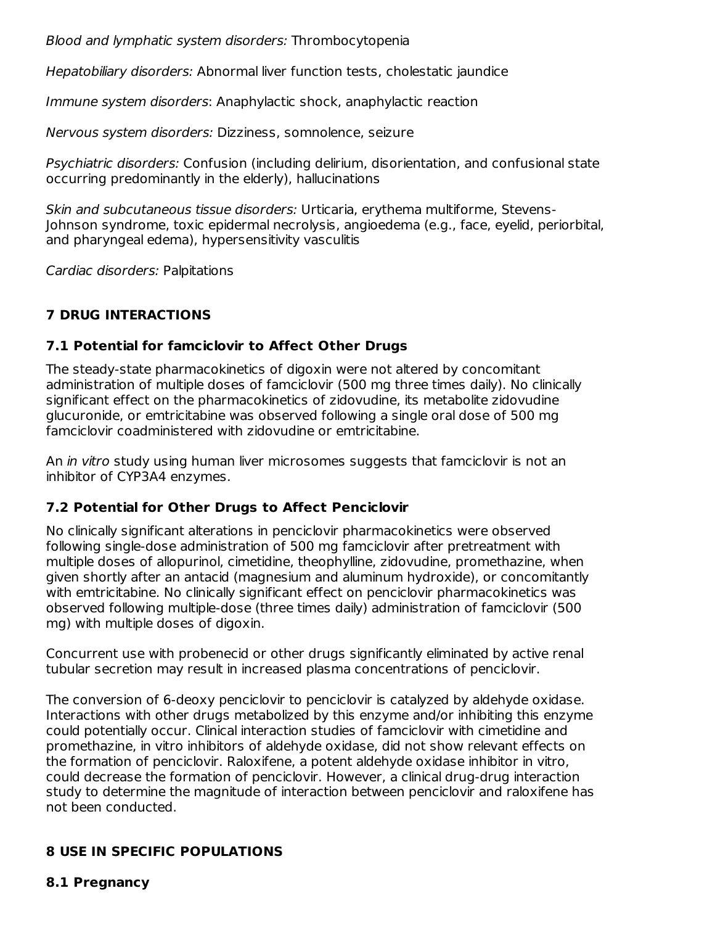Blood and lymphatic system disorders: Thrombocytopenia

Hepatobiliary disorders: Abnormal liver function tests, cholestatic jaundice

Immune system disorders: Anaphylactic shock, anaphylactic reaction

Nervous system disorders: Dizziness, somnolence, seizure

Psychiatric disorders: Confusion (including delirium, disorientation, and confusional state occurring predominantly in the elderly), hallucinations

Skin and subcutaneous tissue disorders: Urticaria, erythema multiforme, Stevens-Johnson syndrome, toxic epidermal necrolysis, angioedema (e.g., face, eyelid, periorbital, and pharyngeal edema), hypersensitivity vasculitis

Cardiac disorders: Palpitations

## **7 DRUG INTERACTIONS**

#### **7.1 Potential for famciclovir to Affect Other Drugs**

The steady-state pharmacokinetics of digoxin were not altered by concomitant administration of multiple doses of famciclovir (500 mg three times daily). No clinically significant effect on the pharmacokinetics of zidovudine, its metabolite zidovudine glucuronide, or emtricitabine was observed following a single oral dose of 500 mg famciclovir coadministered with zidovudine or emtricitabine.

An *in vitro* study using human liver microsomes suggests that famciclovir is not an inhibitor of CYP3A4 enzymes.

#### **7.2 Potential for Other Drugs to Affect Penciclovir**

No clinically significant alterations in penciclovir pharmacokinetics were observed following single-dose administration of 500 mg famciclovir after pretreatment with multiple doses of allopurinol, cimetidine, theophylline, zidovudine, promethazine, when given shortly after an antacid (magnesium and aluminum hydroxide), or concomitantly with emtricitabine. No clinically significant effect on penciclovir pharmacokinetics was observed following multiple-dose (three times daily) administration of famciclovir (500 mg) with multiple doses of digoxin.

Concurrent use with probenecid or other drugs significantly eliminated by active renal tubular secretion may result in increased plasma concentrations of penciclovir.

The conversion of 6-deoxy penciclovir to penciclovir is catalyzed by aldehyde oxidase. Interactions with other drugs metabolized by this enzyme and/or inhibiting this enzyme could potentially occur. Clinical interaction studies of famciclovir with cimetidine and promethazine, in vitro inhibitors of aldehyde oxidase, did not show relevant effects on the formation of penciclovir. Raloxifene, a potent aldehyde oxidase inhibitor in vitro, could decrease the formation of penciclovir. However, a clinical drug-drug interaction study to determine the magnitude of interaction between penciclovir and raloxifene has not been conducted.

## **8 USE IN SPECIFIC POPULATIONS**

#### **8.1 Pregnancy**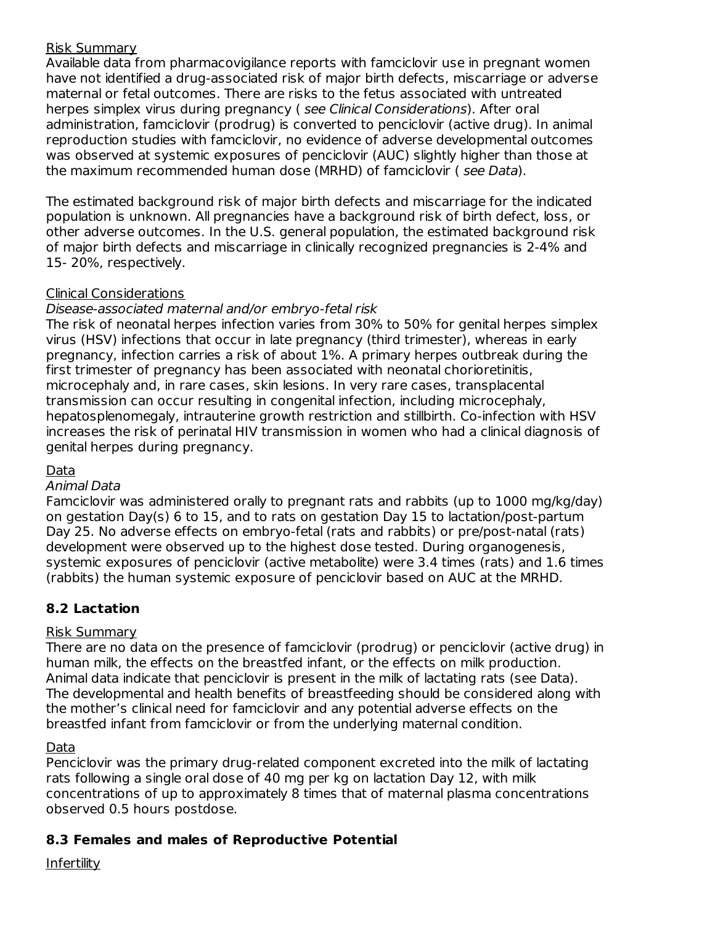#### Risk Summary

Available data from pharmacovigilance reports with famciclovir use in pregnant women have not identified a drug-associated risk of major birth defects, miscarriage or adverse maternal or fetal outcomes. There are risks to the fetus associated with untreated herpes simplex virus during pregnancy (see Clinical Considerations). After oral administration, famciclovir (prodrug) is converted to penciclovir (active drug). In animal reproduction studies with famciclovir, no evidence of adverse developmental outcomes was observed at systemic exposures of penciclovir (AUC) slightly higher than those at the maximum recommended human dose (MRHD) of famciclovir ( see Data).

The estimated background risk of major birth defects and miscarriage for the indicated population is unknown. All pregnancies have a background risk of birth defect, loss, or other adverse outcomes. In the U.S. general population, the estimated background risk of major birth defects and miscarriage in clinically recognized pregnancies is 2-4% and 15- 20%, respectively.

## Clinical Considerations

#### Disease-associated maternal and/or embryo-fetal risk

The risk of neonatal herpes infection varies from 30% to 50% for genital herpes simplex virus (HSV) infections that occur in late pregnancy (third trimester), whereas in early pregnancy, infection carries a risk of about 1%. A primary herpes outbreak during the first trimester of pregnancy has been associated with neonatal chorioretinitis, microcephaly and, in rare cases, skin lesions. In very rare cases, transplacental transmission can occur resulting in congenital infection, including microcephaly, hepatosplenomegaly, intrauterine growth restriction and stillbirth. Co-infection with HSV increases the risk of perinatal HIV transmission in women who had a clinical diagnosis of genital herpes during pregnancy.

#### Data

#### Animal Data

Famciclovir was administered orally to pregnant rats and rabbits (up to 1000 mg/kg/day) on gestation Day(s) 6 to 15, and to rats on gestation Day 15 to lactation/post-partum Day 25. No adverse effects on embryo-fetal (rats and rabbits) or pre/post-natal (rats) development were observed up to the highest dose tested. During organogenesis, systemic exposures of penciclovir (active metabolite) were 3.4 times (rats) and 1.6 times (rabbits) the human systemic exposure of penciclovir based on AUC at the MRHD.

## **8.2 Lactation**

#### Risk Summary

There are no data on the presence of famciclovir (prodrug) or penciclovir (active drug) in human milk, the effects on the breastfed infant, or the effects on milk production. Animal data indicate that penciclovir is present in the milk of lactating rats (see Data). The developmental and health benefits of breastfeeding should be considered along with the mother's clinical need for famciclovir and any potential adverse effects on the breastfed infant from famciclovir or from the underlying maternal condition.

#### Data

Penciclovir was the primary drug-related component excreted into the milk of lactating rats following a single oral dose of 40 mg per kg on lactation Day 12, with milk concentrations of up to approximately 8 times that of maternal plasma concentrations observed 0.5 hours postdose.

## **8.3 Females and males of Reproductive Potential**

#### Infertility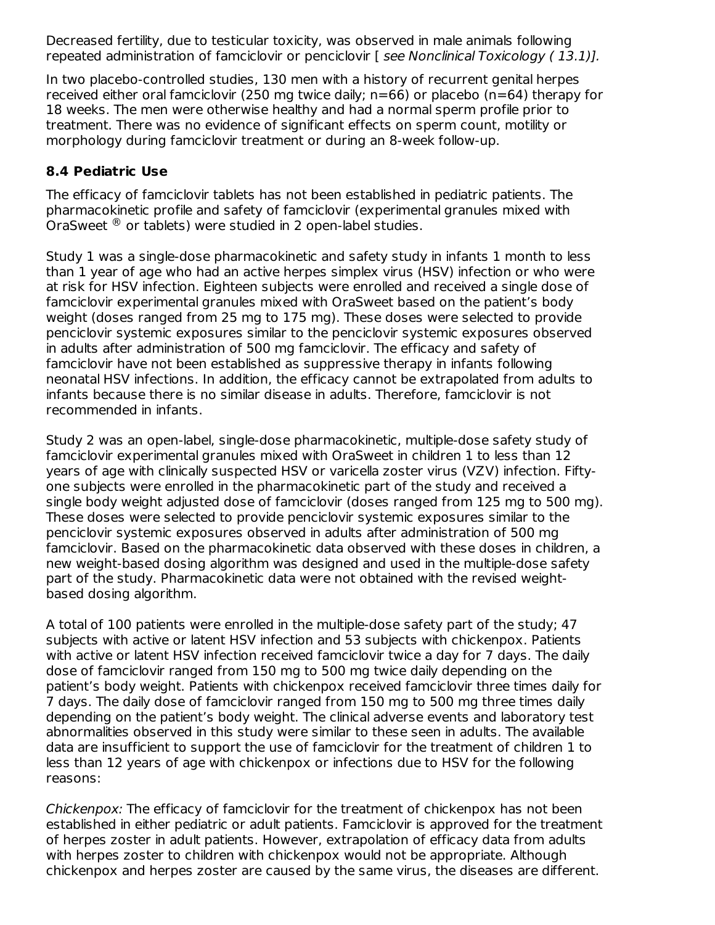Decreased fertility, due to testicular toxicity, was observed in male animals following repeated administration of famciclovir or penciclovir [ see Nonclinical Toxicology (13.1)].

In two placebo-controlled studies, 130 men with a history of recurrent genital herpes received either oral famciclovir (250 mg twice daily;  $n=66$ ) or placebo ( $n=64$ ) therapy for 18 weeks. The men were otherwise healthy and had a normal sperm profile prior to treatment. There was no evidence of significant effects on sperm count, motility or morphology during famciclovir treatment or during an 8-week follow-up.

#### **8.4 Pediatric Use**

The efficacy of famciclovir tablets has not been established in pediatric patients. The pharmacokinetic profile and safety of famciclovir (experimental granules mixed with OraSweet  $^\circledR$  or tablets) were studied in 2 open-label studies.

Study 1 was a single-dose pharmacokinetic and safety study in infants 1 month to less than 1 year of age who had an active herpes simplex virus (HSV) infection or who were at risk for HSV infection. Eighteen subjects were enrolled and received a single dose of famciclovir experimental granules mixed with OraSweet based on the patient's body weight (doses ranged from 25 mg to 175 mg). These doses were selected to provide penciclovir systemic exposures similar to the penciclovir systemic exposures observed in adults after administration of 500 mg famciclovir. The efficacy and safety of famciclovir have not been established as suppressive therapy in infants following neonatal HSV infections. In addition, the efficacy cannot be extrapolated from adults to infants because there is no similar disease in adults. Therefore, famciclovir is not recommended in infants.

Study 2 was an open-label, single-dose pharmacokinetic, multiple-dose safety study of famciclovir experimental granules mixed with OraSweet in children 1 to less than 12 years of age with clinically suspected HSV or varicella zoster virus (VZV) infection. Fiftyone subjects were enrolled in the pharmacokinetic part of the study and received a single body weight adjusted dose of famciclovir (doses ranged from 125 mg to 500 mg). These doses were selected to provide penciclovir systemic exposures similar to the penciclovir systemic exposures observed in adults after administration of 500 mg famciclovir. Based on the pharmacokinetic data observed with these doses in children, a new weight-based dosing algorithm was designed and used in the multiple-dose safety part of the study. Pharmacokinetic data were not obtained with the revised weightbased dosing algorithm.

A total of 100 patients were enrolled in the multiple-dose safety part of the study; 47 subjects with active or latent HSV infection and 53 subjects with chickenpox. Patients with active or latent HSV infection received famciclovir twice a day for 7 days. The daily dose of famciclovir ranged from 150 mg to 500 mg twice daily depending on the patient's body weight. Patients with chickenpox received famciclovir three times daily for 7 days. The daily dose of famciclovir ranged from 150 mg to 500 mg three times daily depending on the patient's body weight. The clinical adverse events and laboratory test abnormalities observed in this study were similar to these seen in adults. The available data are insufficient to support the use of famciclovir for the treatment of children 1 to less than 12 years of age with chickenpox or infections due to HSV for the following reasons:

Chickenpox: The efficacy of famciclovir for the treatment of chickenpox has not been established in either pediatric or adult patients. Famciclovir is approved for the treatment of herpes zoster in adult patients. However, extrapolation of efficacy data from adults with herpes zoster to children with chickenpox would not be appropriate. Although chickenpox and herpes zoster are caused by the same virus, the diseases are different.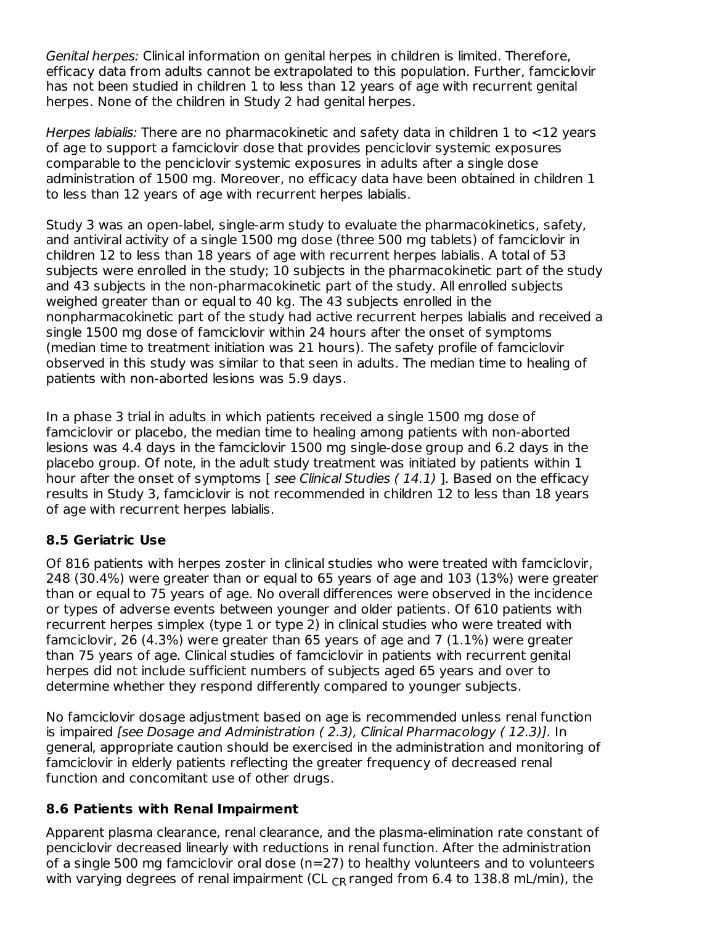Genital herpes: Clinical information on genital herpes in children is limited. Therefore, efficacy data from adults cannot be extrapolated to this population. Further, famciclovir has not been studied in children 1 to less than 12 years of age with recurrent genital herpes. None of the children in Study 2 had genital herpes.

Herpes labialis: There are no pharmacokinetic and safety data in children 1 to <12 years of age to support a famciclovir dose that provides penciclovir systemic exposures comparable to the penciclovir systemic exposures in adults after a single dose administration of 1500 mg. Moreover, no efficacy data have been obtained in children 1 to less than 12 years of age with recurrent herpes labialis.

Study 3 was an open-label, single-arm study to evaluate the pharmacokinetics, safety, and antiviral activity of a single 1500 mg dose (three 500 mg tablets) of famciclovir in children 12 to less than 18 years of age with recurrent herpes labialis. A total of 53 subjects were enrolled in the study; 10 subjects in the pharmacokinetic part of the study and 43 subjects in the non-pharmacokinetic part of the study. All enrolled subjects weighed greater than or equal to 40 kg. The 43 subjects enrolled in the nonpharmacokinetic part of the study had active recurrent herpes labialis and received a single 1500 mg dose of famciclovir within 24 hours after the onset of symptoms (median time to treatment initiation was 21 hours). The safety profile of famciclovir observed in this study was similar to that seen in adults. The median time to healing of patients with non-aborted lesions was 5.9 days.

In a phase 3 trial in adults in which patients received a single 1500 mg dose of famciclovir or placebo, the median time to healing among patients with non-aborted lesions was 4.4 days in the famciclovir 1500 mg single-dose group and 6.2 days in the placebo group. Of note, in the adult study treatment was initiated by patients within 1 hour after the onset of symptoms [ see Clinical Studies (14.1) ]. Based on the efficacy results in Study 3, famciclovir is not recommended in children 12 to less than 18 years of age with recurrent herpes labialis.

## **8.5 Geriatric Use**

Of 816 patients with herpes zoster in clinical studies who were treated with famciclovir, 248 (30.4%) were greater than or equal to 65 years of age and 103 (13%) were greater than or equal to 75 years of age. No overall differences were observed in the incidence or types of adverse events between younger and older patients. Of 610 patients with recurrent herpes simplex (type 1 or type 2) in clinical studies who were treated with famciclovir, 26 (4.3%) were greater than 65 years of age and 7 (1.1%) were greater than 75 years of age. Clinical studies of famciclovir in patients with recurrent genital herpes did not include sufficient numbers of subjects aged 65 years and over to determine whether they respond differently compared to younger subjects.

No famciclovir dosage adjustment based on age is recommended unless renal function is impaired [see Dosage and Administration ( 2.3), Clinical Pharmacology ( 12.3)]. In general, appropriate caution should be exercised in the administration and monitoring of famciclovir in elderly patients reflecting the greater frequency of decreased renal function and concomitant use of other drugs.

#### **8.6 Patients with Renal Impairment**

Apparent plasma clearance, renal clearance, and the plasma-elimination rate constant of penciclovir decreased linearly with reductions in renal function. After the administration of a single 500 mg famciclovir oral dose (n=27) to healthy volunteers and to volunteers with varying degrees of renal impairment (CL  $_{CR}$  ranged from 6.4 to 138.8 mL/min), the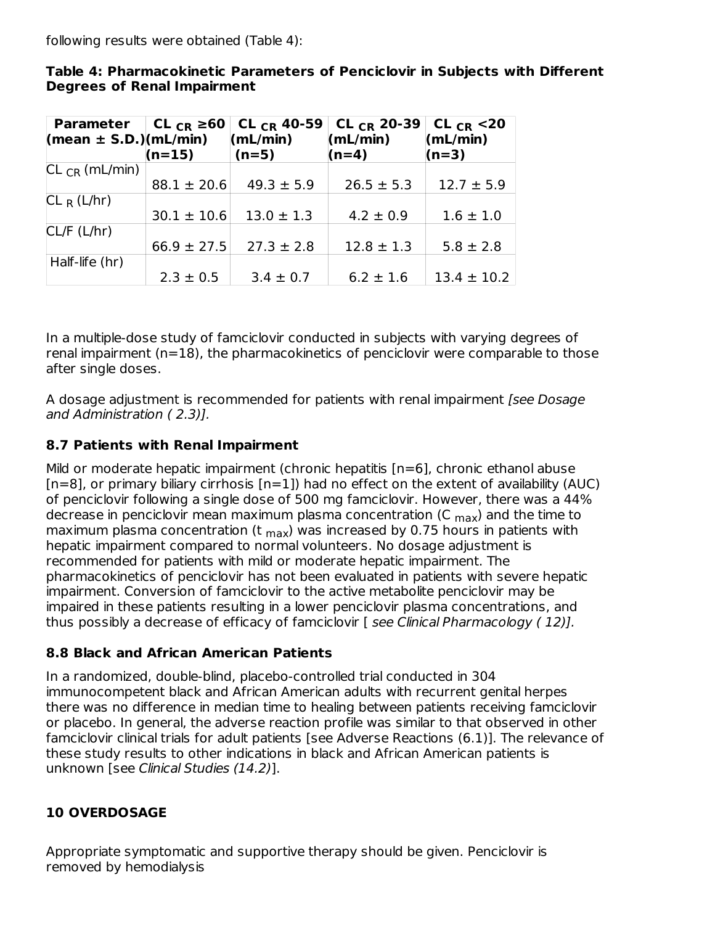following results were obtained (Table 4):

| Parameter   CL $_{CR} \ge 60$  <br>$(mean \pm S.D.)(mL/min)$ | $(n=15)$        | CL $_{CR}$ 40-59<br>(mL/min)<br>$(n=5)$ | CL $_{CR}$ 20-39<br>(mL/min)<br>$(n=4)$ | CL <sub>CR</sub> $<$ 20<br>(mL/min)<br>$(n=3)$ |
|--------------------------------------------------------------|-----------------|-----------------------------------------|-----------------------------------------|------------------------------------------------|
|                                                              |                 |                                         |                                         |                                                |
| $CL_{CR}$ (mL/min)                                           |                 |                                         |                                         |                                                |
|                                                              | $88.1 \pm 20.6$ | $49.3 \pm 5.9$                          | $26.5 \pm 5.3$                          | $12.7 \pm 5.9$                                 |
| $CL_R(L/hr)$                                                 |                 |                                         |                                         |                                                |
|                                                              | $30.1 \pm 10.6$ | $13.0 \pm 1.3$                          | $4.2 \pm 0.9$                           | $1.6 \pm 1.0$                                  |
| CL/F (L/hr)                                                  |                 |                                         |                                         |                                                |
|                                                              | $66.9 \pm 27.5$ | $27.3 \pm 2.8$                          | $12.8 \pm 1.3$                          | $5.8 \pm 2.8$                                  |
| Half-life (hr)                                               |                 |                                         |                                         |                                                |
|                                                              | $2.3 \pm 0.5$   | $3.4 \pm 0.7$                           | $6.2 \pm 1.6$                           | $13.4 \pm 10.2$                                |

**Table 4: Pharmacokinetic Parameters of Penciclovir in Subjects with Different Degrees of Renal Impairment**

In a multiple-dose study of famciclovir conducted in subjects with varying degrees of renal impairment (n=18), the pharmacokinetics of penciclovir were comparable to those after single doses.

A dosage adjustment is recommended for patients with renal impairment [see Dosage] and Administration ( 2.3)].

# **8.7 Patients with Renal Impairment**

Mild or moderate hepatic impairment (chronic hepatitis [n=6], chronic ethanol abuse  $[n=8]$ , or primary biliary cirrhosis  $[n=1]$ ) had no effect on the extent of availability (AUC) of penciclovir following a single dose of 500 mg famciclovir. However, there was a 44% decrease in penciclovir mean maximum plasma concentration (C <sub>max</sub>) and the time to maximum plasma concentration (t <sub>max</sub>) was increased by 0.75 hours in patients with hepatic impairment compared to normal volunteers. No dosage adjustment is recommended for patients with mild or moderate hepatic impairment. The pharmacokinetics of penciclovir has not been evaluated in patients with severe hepatic impairment. Conversion of famciclovir to the active metabolite penciclovir may be impaired in these patients resulting in a lower penciclovir plasma concentrations, and thus possibly a decrease of efficacy of famciclovir  $[$  see Clinical Pharmacology  $(12)$ ].

# **8.8 Black and African American Patients**

In a randomized, double-blind, placebo-controlled trial conducted in 304 immunocompetent black and African American adults with recurrent genital herpes there was no difference in median time to healing between patients receiving famciclovir or placebo. In general, the adverse reaction profile was similar to that observed in other famciclovir clinical trials for adult patients [see Adverse Reactions (6.1)]. The relevance of these study results to other indications in black and African American patients is unknown [see Clinical Studies (14.2)].

# **10 OVERDOSAGE**

Appropriate symptomatic and supportive therapy should be given. Penciclovir is removed by hemodialysis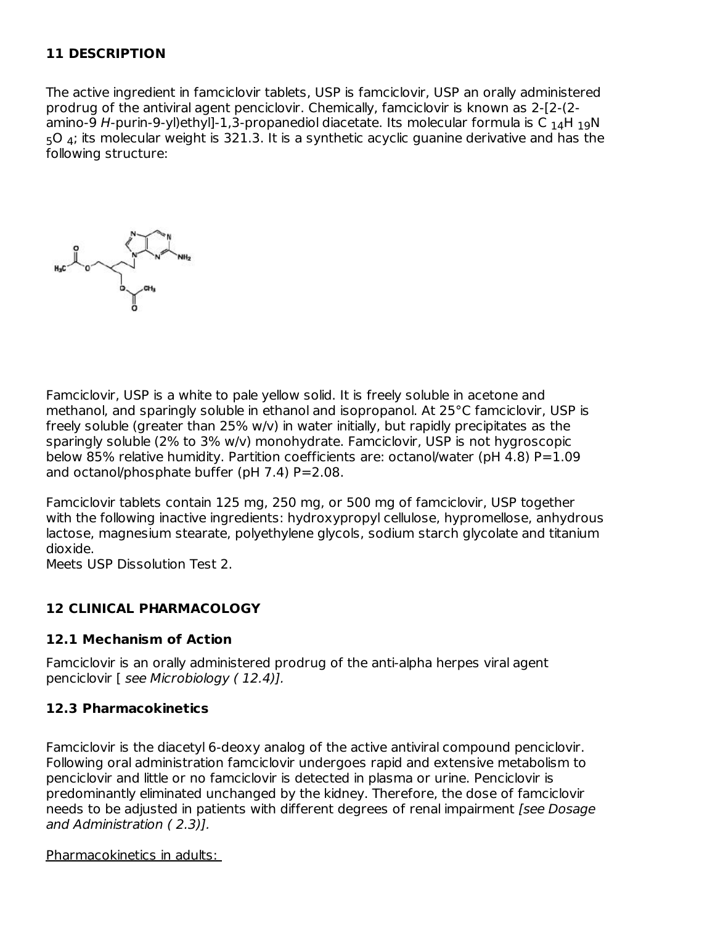## **11 DESCRIPTION**

The active ingredient in famciclovir tablets, USP is famciclovir, USP an orally administered prodrug of the antiviral agent penciclovir. Chemically, famciclovir is known as 2-[2-(2 amino-9 H-purin-9-yl)ethyl]-1,3-propanediol diacetate. Its molecular formula is C  $_{\rm 14}$ H  $_{\rm 19}$ N  $\,$  $_5$ O  $_4$ ; its molecular weight is 321.3. It is a synthetic acyclic guanine derivative and has the following structure:



Famciclovir, USP is a white to pale yellow solid. It is freely soluble in acetone and methanol, and sparingly soluble in ethanol and isopropanol. At 25°C famciclovir, USP is freely soluble (greater than 25% w/v) in water initially, but rapidly precipitates as the sparingly soluble (2% to 3% w/v) monohydrate. Famciclovir, USP is not hygroscopic below 85% relative humidity. Partition coefficients are: octanol/water (pH 4.8)  $P=1.09$ and octanol/phosphate buffer (pH  $7.4$ ) P=2.08.

Famciclovir tablets contain 125 mg, 250 mg, or 500 mg of famciclovir, USP together with the following inactive ingredients: hydroxypropyl cellulose, hypromellose, anhydrous lactose, magnesium stearate, polyethylene glycols, sodium starch glycolate and titanium dioxide.

Meets USP Dissolution Test 2.

#### **12 CLINICAL PHARMACOLOGY**

#### **12.1 Mechanism of Action**

Famciclovir is an orally administered prodrug of the anti-alpha herpes viral agent penciclovir [ see Microbiology ( 12.4)].

#### **12.3 Pharmacokinetics**

Famciclovir is the diacetyl 6-deoxy analog of the active antiviral compound penciclovir. Following oral administration famciclovir undergoes rapid and extensive metabolism to penciclovir and little or no famciclovir is detected in plasma or urine. Penciclovir is predominantly eliminated unchanged by the kidney. Therefore, the dose of famciclovir needs to be adjusted in patients with different degrees of renal impairment [see Dosage and Administration ( 2.3)].

#### Pharmacokinetics in adults: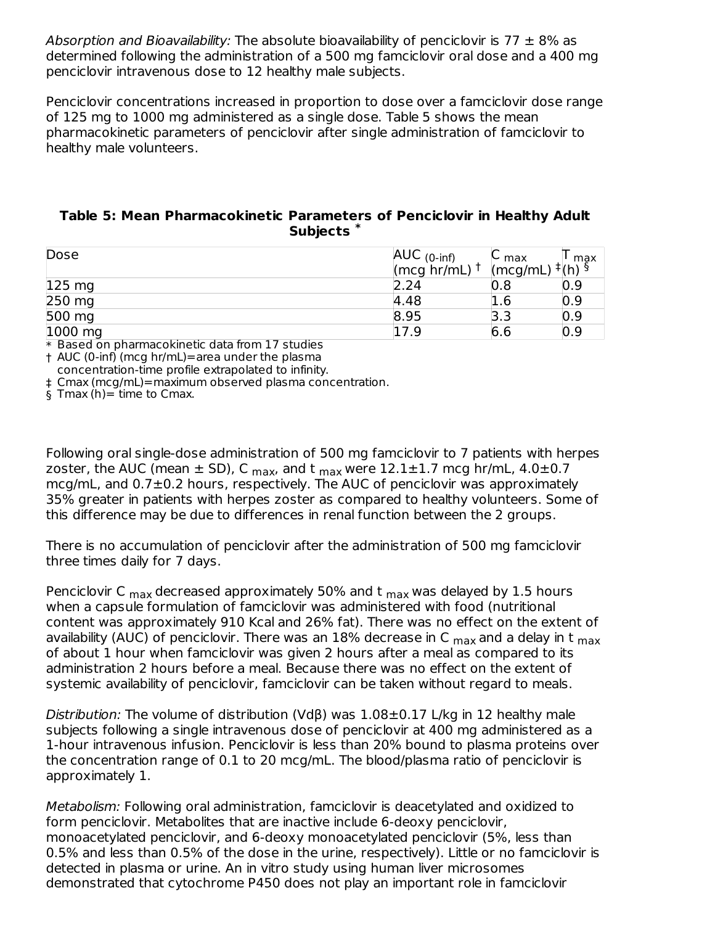Absorption and Bioavailability: The absolute bioavailability of penciclovir is 77  $\pm$  8% as determined following the administration of a 500 mg famciclovir oral dose and a 400 mg penciclovir intravenous dose to 12 healthy male subjects.

Penciclovir concentrations increased in proportion to dose over a famciclovir dose range of 125 mg to 1000 mg administered as a single dose. Table 5 shows the mean pharmacokinetic parameters of penciclovir after single administration of famciclovir to healthy male volunteers.

#### **Table 5: Mean Pharmacokinetic Parameters of Penciclovir in Healthy Adult Subjects \***

| Dose             | AUC $(0\text{-}inf)$     | $\sim$ max                                            | max |
|------------------|--------------------------|-------------------------------------------------------|-----|
|                  | (mcg hr/mL) $^{\dagger}$ | $\frac{1}{2}$ (mcg/mL) <sup>‡</sup> (h) $\frac{5}{2}$ |     |
| $125 \text{ mg}$ | 2.24                     | 0.8                                                   | 0.9 |
| 250 mg           | 4.48                     | $1.6\,$                                               | 0.9 |
| 500 mg           | 8.95                     | 3.3                                                   | 0.9 |
| 1000 mg          | 17.9                     | 6.6                                                   | 0.9 |

\* Based on pharmacokinetic data from 17 studies

† AUC (0-inf) (mcg hr/mL)=area under the plasma concentration-time profile extrapolated to infinity.

‡ Cmax (mcg/mL)=maximum observed plasma concentration.

§ Tmax (h)= time to Cmax.

Following oral single-dose administration of 500 mg famciclovir to 7 patients with herpes zoster, the AUC (mean ± SD), C <sub>max</sub>, and t <sub>max</sub> were 12.1±1.7 mcg hr/mL, 4.0±0.7 mcg/mL, and 0.7±0.2 hours, respectively. The AUC of penciclovir was approximately 35% greater in patients with herpes zoster as compared to healthy volunteers. Some of this difference may be due to differences in renal function between the 2 groups.

There is no accumulation of penciclovir after the administration of 500 mg famciclovir three times daily for 7 days.

Penciclovir C <sub>max</sub> decreased approximately 50% and t <sub>max</sub> was delayed by 1.5 hours when a capsule formulation of famciclovir was administered with food (nutritional content was approximately 910 Kcal and 26% fat). There was no effect on the extent of availability (AUC) of penciclovir. There was an 18% decrease in C <sub>max</sub> and a delay in t <sub>max</sub> of about 1 hour when famciclovir was given 2 hours after a meal as compared to its administration 2 hours before a meal. Because there was no effect on the extent of systemic availability of penciclovir, famciclovir can be taken without regard to meals.

Distribution: The volume of distribution (Vdβ) was 1.08±0.17 L/kg in 12 healthy male subjects following a single intravenous dose of penciclovir at 400 mg administered as a 1-hour intravenous infusion. Penciclovir is less than 20% bound to plasma proteins over the concentration range of 0.1 to 20 mcg/mL. The blood/plasma ratio of penciclovir is approximately 1.

Metabolism: Following oral administration, famciclovir is deacetylated and oxidized to form penciclovir. Metabolites that are inactive include 6-deoxy penciclovir, monoacetylated penciclovir, and 6-deoxy monoacetylated penciclovir (5%, less than 0.5% and less than 0.5% of the dose in the urine, respectively). Little or no famciclovir is detected in plasma or urine. An in vitro study using human liver microsomes demonstrated that cytochrome P450 does not play an important role in famciclovir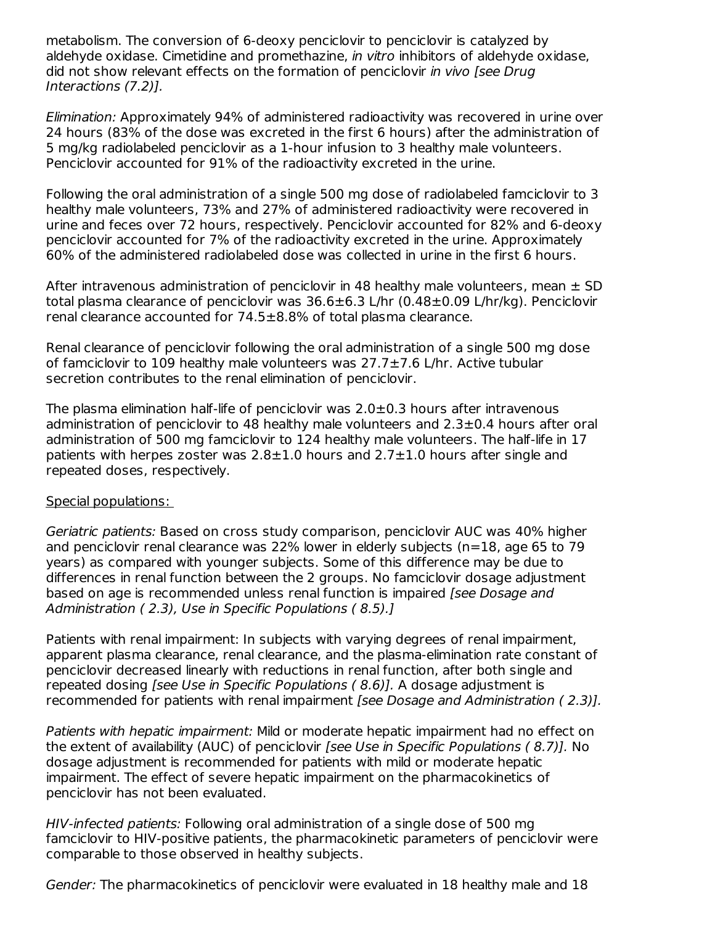metabolism. The conversion of 6-deoxy penciclovir to penciclovir is catalyzed by aldehyde oxidase. Cimetidine and promethazine, *in vitro* inhibitors of aldehyde oxidase, did not show relevant effects on the formation of penciclovir in vivo [see Drug] Interactions (7.2)].

Elimination: Approximately 94% of administered radioactivity was recovered in urine over 24 hours (83% of the dose was excreted in the first 6 hours) after the administration of 5 mg/kg radiolabeled penciclovir as a 1-hour infusion to 3 healthy male volunteers. Penciclovir accounted for 91% of the radioactivity excreted in the urine.

Following the oral administration of a single 500 mg dose of radiolabeled famciclovir to 3 healthy male volunteers, 73% and 27% of administered radioactivity were recovered in urine and feces over 72 hours, respectively. Penciclovir accounted for 82% and 6-deoxy penciclovir accounted for 7% of the radioactivity excreted in the urine. Approximately 60% of the administered radiolabeled dose was collected in urine in the first 6 hours.

After intravenous administration of penciclovir in 48 healthy male volunteers, mean  $\pm$  SD total plasma clearance of penciclovir was 36.6±6.3 L/hr (0.48±0.09 L/hr/kg). Penciclovir renal clearance accounted for 74.5±8.8% of total plasma clearance.

Renal clearance of penciclovir following the oral administration of a single 500 mg dose of famciclovir to 109 healthy male volunteers was 27.7±7.6 L/hr. Active tubular secretion contributes to the renal elimination of penciclovir.

The plasma elimination half-life of penciclovir was  $2.0\pm0.3$  hours after intravenous administration of penciclovir to 48 healthy male volunteers and 2.3±0.4 hours after oral administration of 500 mg famciclovir to 124 healthy male volunteers. The half-life in 17 patients with herpes zoster was  $2.8\pm1.0$  hours and  $2.7\pm1.0$  hours after single and repeated doses, respectively.

#### Special populations:

Geriatric patients: Based on cross study comparison, penciclovir AUC was 40% higher and penciclovir renal clearance was 22% lower in elderly subjects (n=18, age 65 to 79 years) as compared with younger subjects. Some of this difference may be due to differences in renal function between the 2 groups. No famciclovir dosage adjustment based on age is recommended unless renal function is impaired [see Dosage and Administration ( 2.3), Use in Specific Populations ( 8.5).]

Patients with renal impairment: In subjects with varying degrees of renal impairment, apparent plasma clearance, renal clearance, and the plasma-elimination rate constant of penciclovir decreased linearly with reductions in renal function, after both single and repeated dosing [see Use in Specific Populations ( 8.6)]. A dosage adjustment is recommended for patients with renal impairment [see Dosage and Administration (2.3)].

Patients with hepatic impairment: Mild or moderate hepatic impairment had no effect on the extent of availability (AUC) of penciclovir [see Use in Specific Populations (8.7)]. No dosage adjustment is recommended for patients with mild or moderate hepatic impairment. The effect of severe hepatic impairment on the pharmacokinetics of penciclovir has not been evaluated.

HIV-infected patients: Following oral administration of a single dose of 500 mg famciclovir to HIV-positive patients, the pharmacokinetic parameters of penciclovir were comparable to those observed in healthy subjects.

Gender: The pharmacokinetics of penciclovir were evaluated in 18 healthy male and 18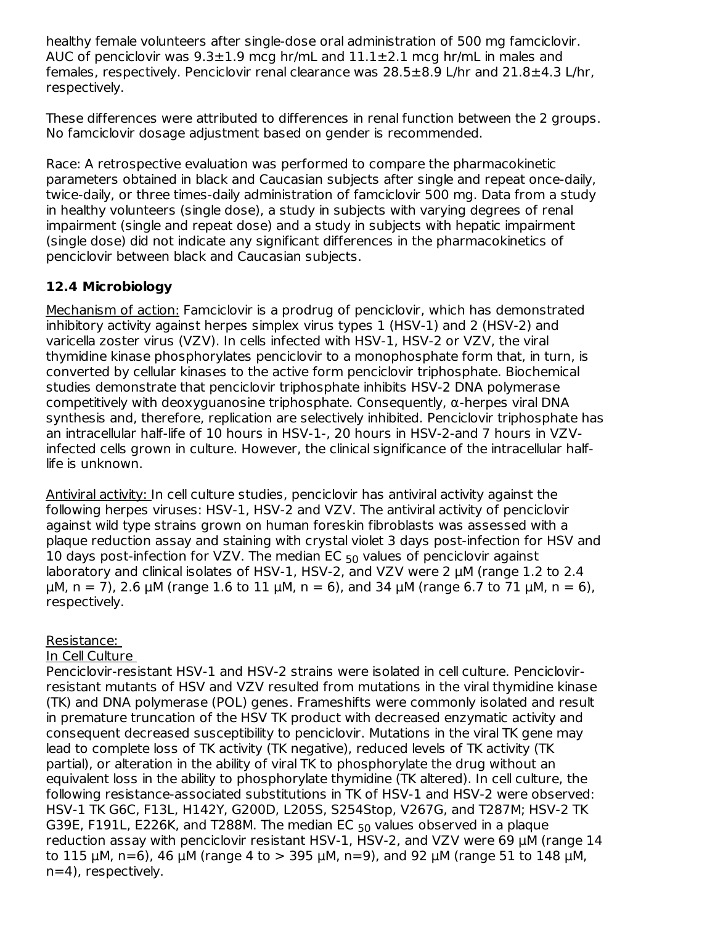healthy female volunteers after single-dose oral administration of 500 mg famciclovir. AUC of penciclovir was  $9.3 \pm 1.9$  mcg hr/mL and  $11.1 \pm 2.1$  mcg hr/mL in males and females, respectively. Penciclovir renal clearance was 28.5±8.9 L/hr and 21.8±4.3 L/hr, respectively.

These differences were attributed to differences in renal function between the 2 groups. No famciclovir dosage adjustment based on gender is recommended.

Race: A retrospective evaluation was performed to compare the pharmacokinetic parameters obtained in black and Caucasian subjects after single and repeat once-daily, twice-daily, or three times-daily administration of famciclovir 500 mg. Data from a study in healthy volunteers (single dose), a study in subjects with varying degrees of renal impairment (single and repeat dose) and a study in subjects with hepatic impairment (single dose) did not indicate any significant differences in the pharmacokinetics of penciclovir between black and Caucasian subjects.

## **12.4 Microbiology**

Mechanism of action: Famciclovir is a prodrug of penciclovir, which has demonstrated inhibitory activity against herpes simplex virus types 1 (HSV-1) and 2 (HSV-2) and varicella zoster virus (VZV). In cells infected with HSV-1, HSV-2 or VZV, the viral thymidine kinase phosphorylates penciclovir to a monophosphate form that, in turn, is converted by cellular kinases to the active form penciclovir triphosphate. Biochemical studies demonstrate that penciclovir triphosphate inhibits HSV-2 DNA polymerase competitively with deoxyguanosine triphosphate. Consequently,  $\alpha$ -herpes viral DNA synthesis and, therefore, replication are selectively inhibited. Penciclovir triphosphate has an intracellular half-life of 10 hours in HSV-1-, 20 hours in HSV-2-and 7 hours in VZVinfected cells grown in culture. However, the clinical significance of the intracellular halflife is unknown.

Antiviral activity: In cell culture studies, penciclovir has antiviral activity against the following herpes viruses: HSV-1, HSV-2 and VZV. The antiviral activity of penciclovir against wild type strains grown on human foreskin fibroblasts was assessed with a plaque reduction assay and staining with crystal violet 3 days post-infection for HSV and 10 days post-infection for VZV. The median EC  $_{50}$  values of penciclovir against laboratory and clinical isolates of HSV-1, HSV-2, and VZV were 2 μM (range 1.2 to 2.4 μM, n = 7), 2.6 μM (range 1.6 to 11 μM, n = 6), and 34 μM (range 6.7 to 71 μM, n = 6), respectively.

## Resistance:

#### In Cell Culture

Penciclovir-resistant HSV-1 and HSV-2 strains were isolated in cell culture. Penciclovirresistant mutants of HSV and VZV resulted from mutations in the viral thymidine kinase (TK) and DNA polymerase (POL) genes. Frameshifts were commonly isolated and result in premature truncation of the HSV TK product with decreased enzymatic activity and consequent decreased susceptibility to penciclovir. Mutations in the viral TK gene may lead to complete loss of TK activity (TK negative), reduced levels of TK activity (TK partial), or alteration in the ability of viral TK to phosphorylate the drug without an equivalent loss in the ability to phosphorylate thymidine (TK altered). In cell culture, the following resistance-associated substitutions in TK of HSV-1 and HSV-2 were observed: HSV-1 TK G6C, F13L, H142Y, G200D, L205S, S254Stop, V267G, and T287M; HSV-2 TK G39E, F191L, E226K, and T288M. The median EC  $_{50}$  values observed in a plaque reduction assay with penciclovir resistant HSV-1, HSV-2, and VZV were 69 μM (range 14 to 115 μM, n=6), 46 μM (range 4 to > 395 μM, n=9), and 92 μM (range 51 to 148 μM, n=4), respectively.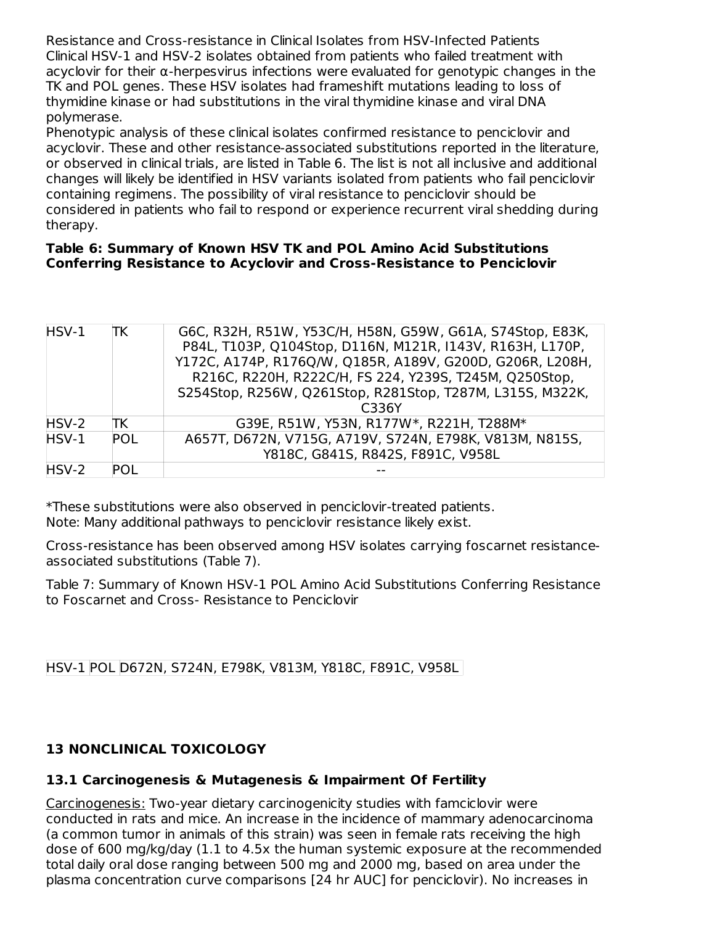Resistance and Cross-resistance in Clinical Isolates from HSV-Infected Patients Clinical HSV-1 and HSV-2 isolates obtained from patients who failed treatment with acyclovir for their α-herpesvirus infections were evaluated for genotypic changes in the TK and POL genes. These HSV isolates had frameshift mutations leading to loss of thymidine kinase or had substitutions in the viral thymidine kinase and viral DNA polymerase.

Phenotypic analysis of these clinical isolates confirmed resistance to penciclovir and acyclovir. These and other resistance-associated substitutions reported in the literature, or observed in clinical trials, are listed in Table 6. The list is not all inclusive and additional changes will likely be identified in HSV variants isolated from patients who fail penciclovir containing regimens. The possibility of viral resistance to penciclovir should be considered in patients who fail to respond or experience recurrent viral shedding during therapy.

#### **Table 6: Summary of Known HSV TK and POL Amino Acid Substitutions Conferring Resistance to Acyclovir and Cross-Resistance to Penciclovir**

| HSV-1 | TΚ         | G6C, R32H, R51W, Y53C/H, H58N, G59W, G61A, S74Stop, E83K, |
|-------|------------|-----------------------------------------------------------|
|       |            | P84L, T103P, Q104Stop, D116N, M121R, I143V, R163H, L170P, |
|       |            | Y172C, A174P, R176Q/W, Q185R, A189V, G200D, G206R, L208H, |
|       |            | R216C, R220H, R222C/H, FS 224, Y239S, T245M, Q250Stop,    |
|       |            | S254Stop, R256W, Q261Stop, R281Stop, T287M, L315S, M322K, |
|       |            | C336Y                                                     |
| HSV-2 | ΠK         | G39E, R51W, Y53N, R177W*, R221H, T288M*                   |
| HSV-1 | <b>POL</b> | A657T, D672N, V715G, A719V, S724N, E798K, V813M, N815S,   |
|       |            | Y818C, G841S, R842S, F891C, V958L                         |
| HSV-2 | POL        |                                                           |

\*These substitutions were also observed in penciclovir-treated patients. Note: Many additional pathways to penciclovir resistance likely exist.

Cross-resistance has been observed among HSV isolates carrying foscarnet resistanceassociated substitutions (Table 7).

Table 7: Summary of Known HSV-1 POL Amino Acid Substitutions Conferring Resistance to Foscarnet and Cross- Resistance to Penciclovir

HSV-1 POL D672N, S724N, E798K, V813M, Y818C, F891C, V958L

# **13 NONCLINICAL TOXICOLOGY**

## **13.1 Carcinogenesis & Mutagenesis & Impairment Of Fertility**

Carcinogenesis: Two-year dietary carcinogenicity studies with famciclovir were conducted in rats and mice. An increase in the incidence of mammary adenocarcinoma (a common tumor in animals of this strain) was seen in female rats receiving the high dose of 600 mg/kg/day (1.1 to 4.5x the human systemic exposure at the recommended total daily oral dose ranging between 500 mg and 2000 mg, based on area under the plasma concentration curve comparisons [24 hr AUC] for penciclovir). No increases in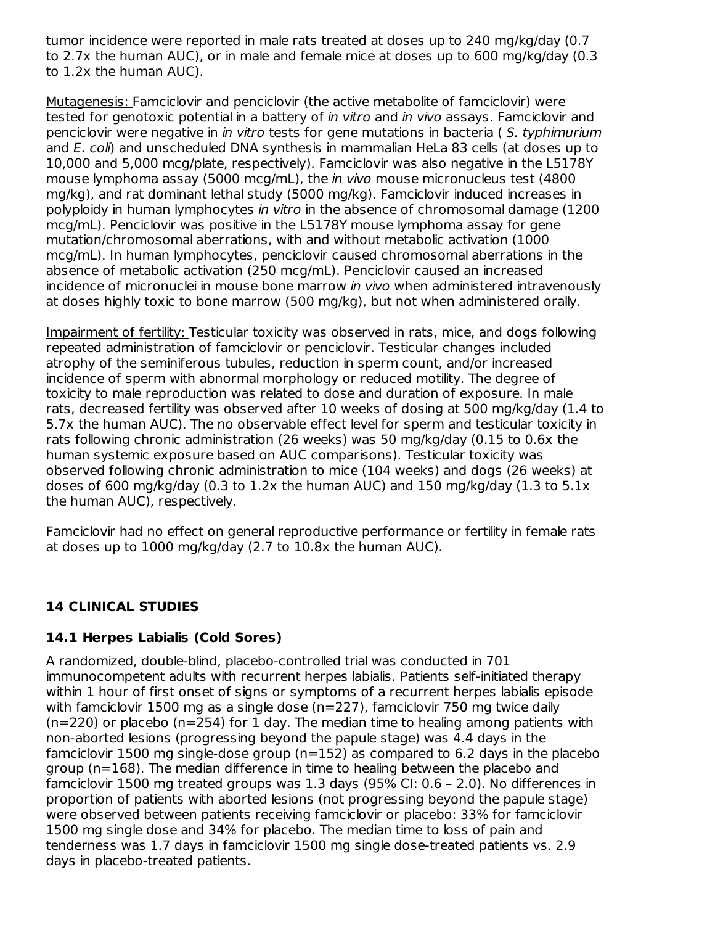tumor incidence were reported in male rats treated at doses up to 240 mg/kg/day (0.7 to 2.7x the human AUC), or in male and female mice at doses up to 600 mg/kg/day (0.3 to 1.2x the human AUC).

Mutagenesis: Famciclovir and penciclovir (the active metabolite of famciclovir) were tested for genotoxic potential in a battery of *in vitro* and *in vivo* assays. Famciclovir and penciclovir were negative in in vitro tests for gene mutations in bacteria ( S. typhimurium and E. coli) and unscheduled DNA synthesis in mammalian HeLa 83 cells (at doses up to 10,000 and 5,000 mcg/plate, respectively). Famciclovir was also negative in the L5178Y mouse lymphoma assay (5000 mcg/mL), the in vivo mouse micronucleus test (4800 mg/kg), and rat dominant lethal study (5000 mg/kg). Famciclovir induced increases in polyploidy in human lymphocytes in vitro in the absence of chromosomal damage (1200 mcg/mL). Penciclovir was positive in the L5178Y mouse lymphoma assay for gene mutation/chromosomal aberrations, with and without metabolic activation (1000 mcg/mL). In human lymphocytes, penciclovir caused chromosomal aberrations in the absence of metabolic activation (250 mcg/mL). Penciclovir caused an increased incidence of micronuclei in mouse bone marrow in vivo when administered intravenously at doses highly toxic to bone marrow (500 mg/kg), but not when administered orally.

Impairment of fertility: Testicular toxicity was observed in rats, mice, and dogs following repeated administration of famciclovir or penciclovir. Testicular changes included atrophy of the seminiferous tubules, reduction in sperm count, and/or increased incidence of sperm with abnormal morphology or reduced motility. The degree of toxicity to male reproduction was related to dose and duration of exposure. In male rats, decreased fertility was observed after 10 weeks of dosing at 500 mg/kg/day (1.4 to 5.7x the human AUC). The no observable effect level for sperm and testicular toxicity in rats following chronic administration (26 weeks) was 50 mg/kg/day (0.15 to 0.6x the human systemic exposure based on AUC comparisons). Testicular toxicity was observed following chronic administration to mice (104 weeks) and dogs (26 weeks) at doses of 600 mg/kg/day (0.3 to 1.2x the human AUC) and 150 mg/kg/day (1.3 to 5.1x the human AUC), respectively.

Famciclovir had no effect on general reproductive performance or fertility in female rats at doses up to 1000 mg/kg/day (2.7 to 10.8x the human AUC).

#### **14 CLINICAL STUDIES**

#### **14.1 Herpes Labialis (Cold Sores)**

A randomized, double-blind, placebo-controlled trial was conducted in 701 immunocompetent adults with recurrent herpes labialis. Patients self-initiated therapy within 1 hour of first onset of signs or symptoms of a recurrent herpes labialis episode with famciclovir 1500 mg as a single dose (n=227), famciclovir 750 mg twice daily  $(n=220)$  or placebo  $(n=254)$  for 1 day. The median time to healing among patients with non-aborted lesions (progressing beyond the papule stage) was 4.4 days in the famciclovir 1500 mg single-dose group (n=152) as compared to 6.2 days in the placebo group (n=168). The median difference in time to healing between the placebo and famciclovir 1500 mg treated groups was 1.3 days (95% CI: 0.6 – 2.0). No differences in proportion of patients with aborted lesions (not progressing beyond the papule stage) were observed between patients receiving famciclovir or placebo: 33% for famciclovir 1500 mg single dose and 34% for placebo. The median time to loss of pain and tenderness was 1.7 days in famciclovir 1500 mg single dose-treated patients vs. 2.9 days in placebo-treated patients.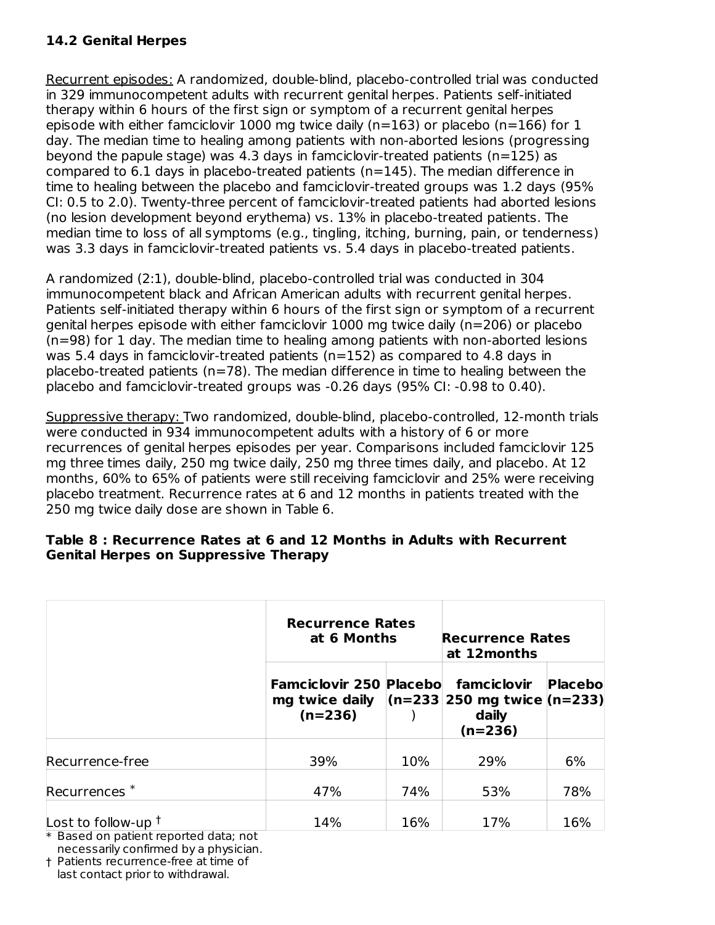## **14.2 Genital Herpes**

Recurrent episodes: A randomized, double-blind, placebo-controlled trial was conducted in 329 immunocompetent adults with recurrent genital herpes. Patients self-initiated therapy within 6 hours of the first sign or symptom of a recurrent genital herpes episode with either famciclovir 1000 mg twice daily (n=163) or placebo (n=166) for 1 day. The median time to healing among patients with non-aborted lesions (progressing beyond the papule stage) was 4.3 days in famciclovir-treated patients  $(n=125)$  as compared to 6.1 days in placebo-treated patients (n=145). The median difference in time to healing between the placebo and famciclovir-treated groups was 1.2 days (95% CI: 0.5 to 2.0). Twenty-three percent of famciclovir-treated patients had aborted lesions (no lesion development beyond erythema) vs. 13% in placebo-treated patients. The median time to loss of all symptoms (e.g., tingling, itching, burning, pain, or tenderness) was 3.3 days in famciclovir-treated patients vs. 5.4 days in placebo-treated patients.

A randomized (2:1), double-blind, placebo-controlled trial was conducted in 304 immunocompetent black and African American adults with recurrent genital herpes. Patients self-initiated therapy within 6 hours of the first sign or symptom of a recurrent genital herpes episode with either famciclovir 1000 mg twice daily (n=206) or placebo (n=98) for 1 day. The median time to healing among patients with non-aborted lesions was 5.4 days in famciclovir-treated patients ( $n=152$ ) as compared to 4.8 days in placebo-treated patients (n=78). The median difference in time to healing between the placebo and famciclovir-treated groups was -0.26 days (95% CI: -0.98 to 0.40).

Suppressive therapy: Two randomized, double-blind, placebo-controlled, 12-month trials were conducted in 934 immunocompetent adults with a history of 6 or more recurrences of genital herpes episodes per year. Comparisons included famciclovir 125 mg three times daily, 250 mg twice daily, 250 mg three times daily, and placebo. At 12 months, 60% to 65% of patients were still receiving famciclovir and 25% were receiving placebo treatment. Recurrence rates at 6 and 12 months in patients treated with the 250 mg twice daily dose are shown in Table 6.

#### **Table 8 : Recurrence Rates at 6 and 12 Months in Adults with Recurrent Genital Herpes on Suppressive Therapy**

|                          | <b>Recurrence Rates</b><br>at 6 Months                                                        |     | <b>Recurrence Rates</b><br>at 12 months |         |
|--------------------------|-----------------------------------------------------------------------------------------------|-----|-----------------------------------------|---------|
|                          | <b>Famciclovir 250 Placebo</b><br>mg twice daily $(n=233 250$ mg twice $(n=233)$<br>$(n=236)$ |     | famciclovir<br>daily<br>$(n=236)$       | Placebo |
| Recurrence-free          | 39%                                                                                           | 10% | 29%                                     | 6%      |
| Recurrences <sup>*</sup> | 47%                                                                                           | 74% | 53%                                     | 78%     |
| Lost to follow-up $†$    | 14%                                                                                           | 16% | 17%                                     | 16%     |

\* Based on patient reported data; not necessarily confirmed by a physician.

† Patients recurrence-free at time of

last contact prior to withdrawal.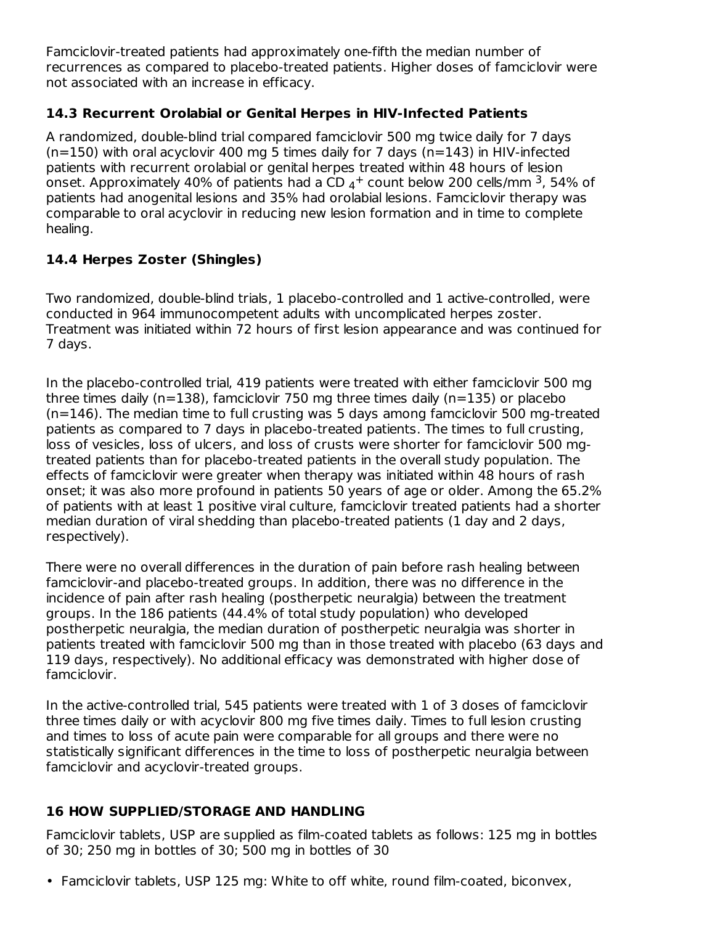Famciclovir-treated patients had approximately one-fifth the median number of recurrences as compared to placebo-treated patients. Higher doses of famciclovir were not associated with an increase in efficacy.

## **14.3 Recurrent Orolabial or Genital Herpes in HIV-Infected Patients**

A randomized, double-blind trial compared famciclovir 500 mg twice daily for 7 days  $(n=150)$  with oral acyclovir 400 mg 5 times daily for 7 days  $(n=143)$  in HIV-infected patients with recurrent orolabial or genital herpes treated within 48 hours of lesion onset. Approximately 40% of patients had a CD  $_4+$  count below 200 cells/mm <sup>3</sup>, 54% of patients had anogenital lesions and 35% had orolabial lesions. Famciclovir therapy was comparable to oral acyclovir in reducing new lesion formation and in time to complete healing.

## **14.4 Herpes Zoster (Shingles)**

Two randomized, double-blind trials, 1 placebo-controlled and 1 active-controlled, were conducted in 964 immunocompetent adults with uncomplicated herpes zoster. Treatment was initiated within 72 hours of first lesion appearance and was continued for 7 days.

In the placebo-controlled trial, 419 patients were treated with either famciclovir 500 mg three times daily (n=138), famciclovir 750 mg three times daily (n=135) or placebo (n=146). The median time to full crusting was 5 days among famciclovir 500 mg-treated patients as compared to 7 days in placebo-treated patients. The times to full crusting, loss of vesicles, loss of ulcers, and loss of crusts were shorter for famciclovir 500 mgtreated patients than for placebo-treated patients in the overall study population. The effects of famciclovir were greater when therapy was initiated within 48 hours of rash onset; it was also more profound in patients 50 years of age or older. Among the 65.2% of patients with at least 1 positive viral culture, famciclovir treated patients had a shorter median duration of viral shedding than placebo-treated patients (1 day and 2 days, respectively).

There were no overall differences in the duration of pain before rash healing between famciclovir-and placebo-treated groups. In addition, there was no difference in the incidence of pain after rash healing (postherpetic neuralgia) between the treatment groups. In the 186 patients (44.4% of total study population) who developed postherpetic neuralgia, the median duration of postherpetic neuralgia was shorter in patients treated with famciclovir 500 mg than in those treated with placebo (63 days and 119 days, respectively). No additional efficacy was demonstrated with higher dose of famciclovir.

In the active-controlled trial, 545 patients were treated with 1 of 3 doses of famciclovir three times daily or with acyclovir 800 mg five times daily. Times to full lesion crusting and times to loss of acute pain were comparable for all groups and there were no statistically significant differences in the time to loss of postherpetic neuralgia between famciclovir and acyclovir-treated groups.

## **16 HOW SUPPLIED/STORAGE AND HANDLING**

Famciclovir tablets, USP are supplied as film-coated tablets as follows: 125 mg in bottles of 30; 250 mg in bottles of 30; 500 mg in bottles of 30

• Famciclovir tablets, USP 125 mg: White to off white, round film-coated, biconvex,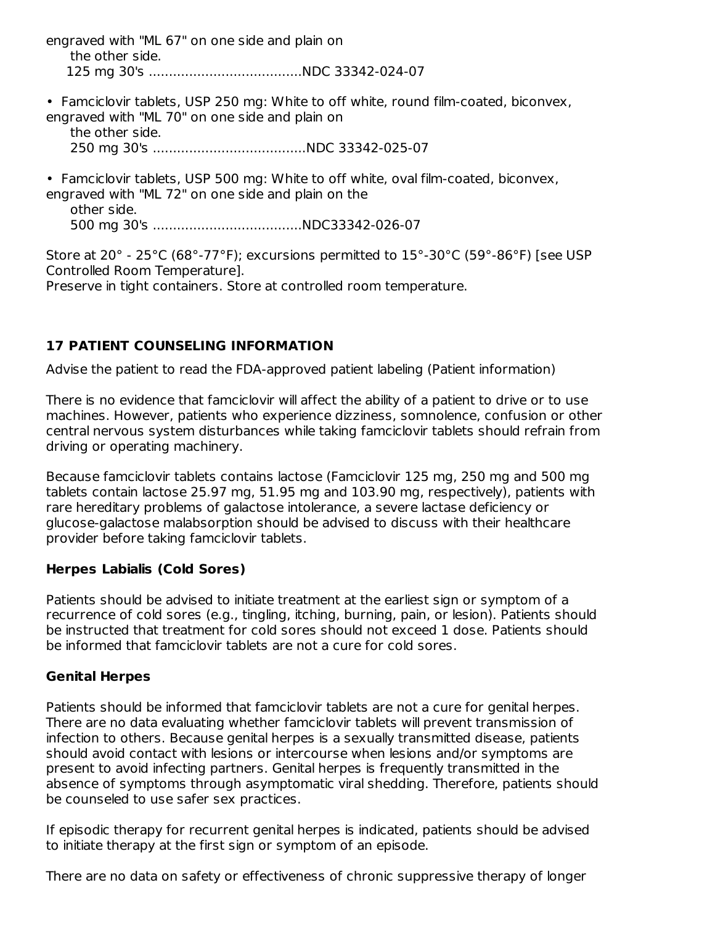engraved with "ML 67" on one side and plain on the other side. 125 mg 30's ......................................NDC 33342-024-07

• Famciclovir tablets, USP 250 mg: White to off white, round film-coated, biconvex, engraved with "ML 70" on one side and plain on the other side. 250 mg 30's ......................................NDC 33342-025-07

• Famciclovir tablets, USP 500 mg: White to off white, oval film-coated, biconvex, engraved with "ML 72" on one side and plain on the other side. 500 mg 30's .....................................NDC33342-026-07

Store at 20° - 25°C (68°-77°F); excursions permitted to 15°-30°C (59°-86°F) [see USP Controlled Room Temperature]. Preserve in tight containers. Store at controlled room temperature.

## **17 PATIENT COUNSELING INFORMATION**

Advise the patient to read the FDA-approved patient labeling (Patient information)

There is no evidence that famciclovir will affect the ability of a patient to drive or to use machines. However, patients who experience dizziness, somnolence, confusion or other central nervous system disturbances while taking famciclovir tablets should refrain from driving or operating machinery.

Because famciclovir tablets contains lactose (Famciclovir 125 mg, 250 mg and 500 mg tablets contain lactose 25.97 mg, 51.95 mg and 103.90 mg, respectively), patients with rare hereditary problems of galactose intolerance, a severe lactase deficiency or glucose-galactose malabsorption should be advised to discuss with their healthcare provider before taking famciclovir tablets.

#### **Herpes Labialis (Cold Sores)**

Patients should be advised to initiate treatment at the earliest sign or symptom of a recurrence of cold sores (e.g., tingling, itching, burning, pain, or lesion). Patients should be instructed that treatment for cold sores should not exceed 1 dose. Patients should be informed that famciclovir tablets are not a cure for cold sores.

#### **Genital Herpes**

Patients should be informed that famciclovir tablets are not a cure for genital herpes. There are no data evaluating whether famciclovir tablets will prevent transmission of infection to others. Because genital herpes is a sexually transmitted disease, patients should avoid contact with lesions or intercourse when lesions and/or symptoms are present to avoid infecting partners. Genital herpes is frequently transmitted in the absence of symptoms through asymptomatic viral shedding. Therefore, patients should be counseled to use safer sex practices.

If episodic therapy for recurrent genital herpes is indicated, patients should be advised to initiate therapy at the first sign or symptom of an episode.

There are no data on safety or effectiveness of chronic suppressive therapy of longer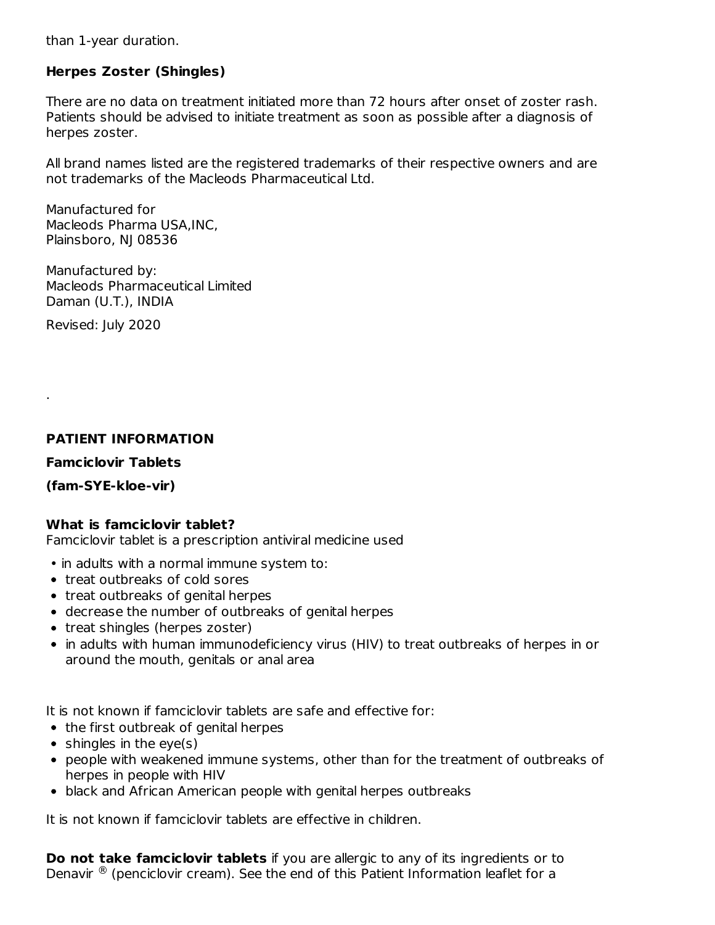than 1-year duration.

## **Herpes Zoster (Shingles)**

There are no data on treatment initiated more than 72 hours after onset of zoster rash. Patients should be advised to initiate treatment as soon as possible after a diagnosis of herpes zoster.

All brand names listed are the registered trademarks of their respective owners and are not trademarks of the Macleods Pharmaceutical Ltd.

Manufactured for Macleods Pharma USA,INC, Plainsboro, NJ 08536

Manufactured by: Macleods Pharmaceutical Limited Daman (U.T.), INDIA

Revised: July 2020

.

## **PATIENT INFORMATION**

#### **Famciclovir Tablets**

#### **(fam-SYE-kloe-vir)**

#### **What is famciclovir tablet?**

Famciclovir tablet is a prescription antiviral medicine used

- in adults with a normal immune system to:
- treat outbreaks of cold sores
- treat outbreaks of genital herpes
- decrease the number of outbreaks of genital herpes
- treat shingles (herpes zoster)
- in adults with human immunodeficiency virus (HIV) to treat outbreaks of herpes in or around the mouth, genitals or anal area

It is not known if famciclovir tablets are safe and effective for:

- the first outbreak of genital herpes
- $\bullet$  shingles in the eye(s)
- people with weakened immune systems, other than for the treatment of outbreaks of herpes in people with HIV
- black and African American people with genital herpes outbreaks

It is not known if famciclovir tablets are effective in children.

**Do not take famciclovir tablets** if you are allergic to any of its ingredients or to Denavir  $\mathcal{B}$  (penciclovir cream). See the end of this Patient Information leaflet for a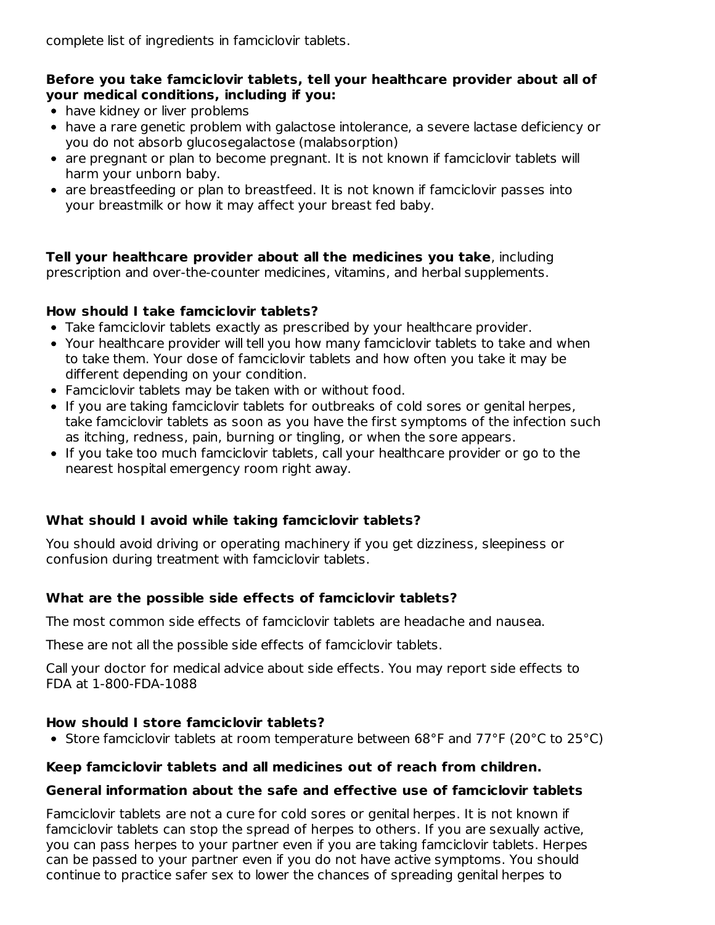## **Before you take famciclovir tablets, tell your healthcare provider about all of your medical conditions, including if you:**

- have kidney or liver problems
- have a rare genetic problem with galactose intolerance, a severe lactase deficiency or you do not absorb glucosegalactose (malabsorption)
- are pregnant or plan to become pregnant. It is not known if famciclovir tablets will harm your unborn baby.
- are breastfeeding or plan to breastfeed. It is not known if famciclovir passes into your breastmilk or how it may affect your breast fed baby.

**Tell your healthcare provider about all the medicines you take**, including prescription and over-the-counter medicines, vitamins, and herbal supplements.

## **How should I take famciclovir tablets?**

- Take famciclovir tablets exactly as prescribed by your healthcare provider.
- Your healthcare provider will tell you how many famciclovir tablets to take and when to take them. Your dose of famciclovir tablets and how often you take it may be different depending on your condition.
- Famciclovir tablets may be taken with or without food.
- If you are taking famciclovir tablets for outbreaks of cold sores or genital herpes, take famciclovir tablets as soon as you have the first symptoms of the infection such as itching, redness, pain, burning or tingling, or when the sore appears.
- If you take too much famciclovir tablets, call your healthcare provider or go to the nearest hospital emergency room right away.

## **What should I avoid while taking famciclovir tablets?**

You should avoid driving or operating machinery if you get dizziness, sleepiness or confusion during treatment with famciclovir tablets.

## **What are the possible side effects of famciclovir tablets?**

The most common side effects of famciclovir tablets are headache and nausea.

These are not all the possible side effects of famciclovir tablets.

Call your doctor for medical advice about side effects. You may report side effects to FDA at 1-800-FDA-1088

## **How should I store famciclovir tablets?**

• Store famciclovir tablets at room temperature between 68°F and 77°F (20°C to 25°C)

## **Keep famciclovir tablets and all medicines out of reach from children.**

#### **General information about the safe and effective use of famciclovir tablets**

Famciclovir tablets are not a cure for cold sores or genital herpes. It is not known if famciclovir tablets can stop the spread of herpes to others. If you are sexually active, you can pass herpes to your partner even if you are taking famciclovir tablets. Herpes can be passed to your partner even if you do not have active symptoms. You should continue to practice safer sex to lower the chances of spreading genital herpes to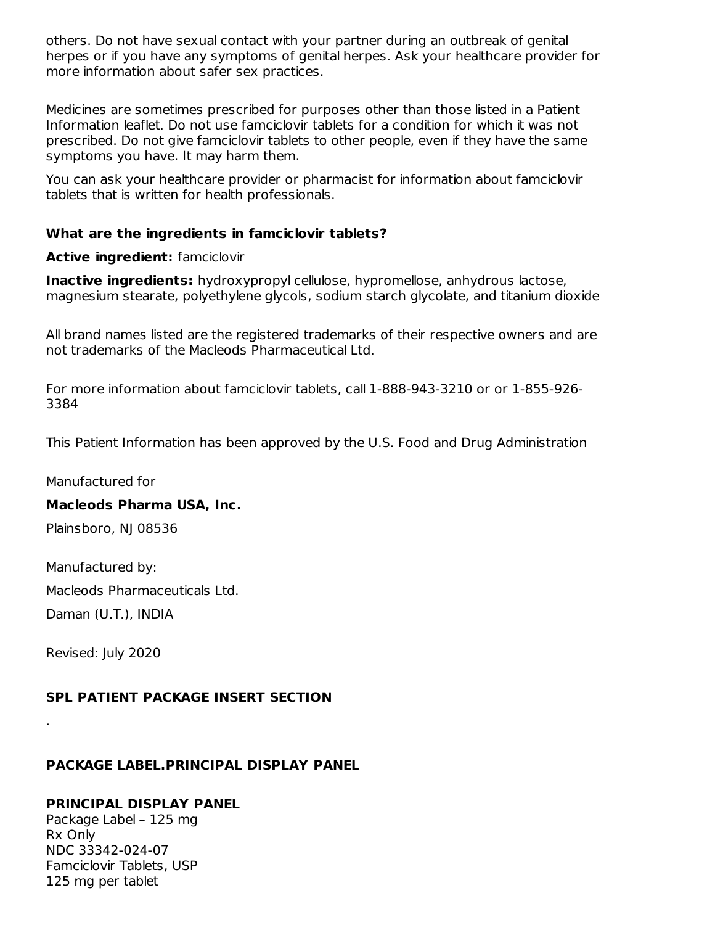others. Do not have sexual contact with your partner during an outbreak of genital herpes or if you have any symptoms of genital herpes. Ask your healthcare provider for more information about safer sex practices.

Medicines are sometimes prescribed for purposes other than those listed in a Patient Information leaflet. Do not use famciclovir tablets for a condition for which it was not prescribed. Do not give famciclovir tablets to other people, even if they have the same symptoms you have. It may harm them.

You can ask your healthcare provider or pharmacist for information about famciclovir tablets that is written for health professionals.

#### **What are the ingredients in famciclovir tablets?**

#### **Active ingredient:** famciclovir

**Inactive ingredients:** hydroxypropyl cellulose, hypromellose, anhydrous lactose, magnesium stearate, polyethylene glycols, sodium starch glycolate, and titanium dioxide

All brand names listed are the registered trademarks of their respective owners and are not trademarks of the Macleods Pharmaceutical Ltd.

For more information about famciclovir tablets, call 1-888-943-3210 or or 1-855-926- 3384

This Patient Information has been approved by the U.S. Food and Drug Administration

Manufactured for

#### **Macleods Pharma USA, Inc.**

Plainsboro, NJ 08536

Manufactured by: Macleods Pharmaceuticals Ltd.

Daman (U.T.), INDIA

Revised: July 2020

.

#### **SPL PATIENT PACKAGE INSERT SECTION**

#### **PACKAGE LABEL.PRINCIPAL DISPLAY PANEL**

#### **PRINCIPAL DISPLAY PANEL**

Package Label – 125 mg Rx Only NDC 33342-024-07 Famciclovir Tablets, USP 125 mg per tablet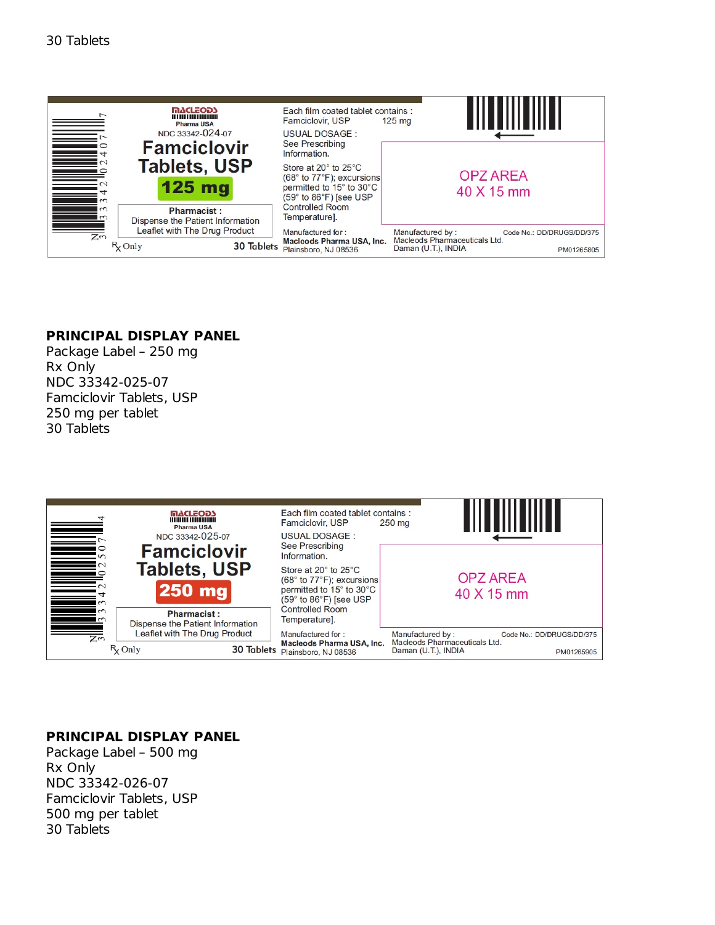

#### **PRINCIPAL DISPLAY PANEL**

Package Label – 250 mg Rx Only NDC 33342-025-07 Famciclovir Tablets, USP 250 mg per tablet 30 Tablets



#### **PRINCIPAL DISPLAY PANEL**

Package Label – 500 mg Rx Only NDC 33342-026-07 Famciclovir Tablets, USP 500 mg per tablet 30 Tablets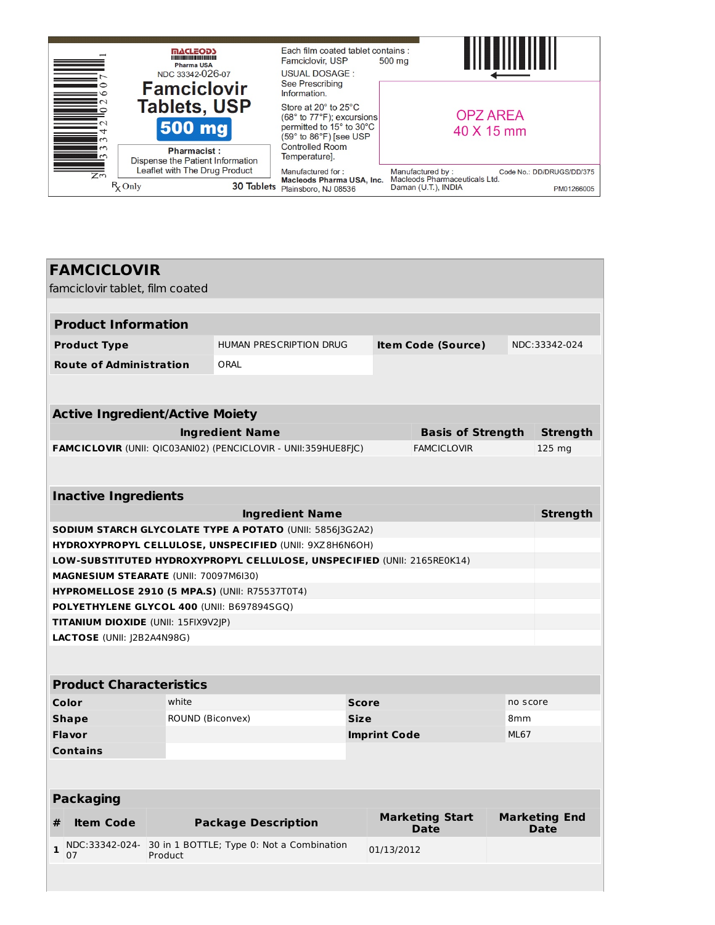

# **FAMCICLOVIR** famciclovir tablet, film coated **Product Information Product Type** HUMAN PRESCRIPTION DRUG **Item Code (Source)** NDC:33342-024 **Route of Administration** ORAL **Active Ingredient/Active Moiety Ingredient Name Basis of Strength Strength FAMCICLOVIR** (UNII: QIC03ANI02) (PENCICLOVIR - UNII:359HUE8FJC) FAMCICLOVIR 125 mg **Inactive Ingredients**

| <b>Ingredient Name</b>                                                  | <b>Strength</b> |
|-------------------------------------------------------------------------|-----------------|
| <b>SODIUM STARCH GLYCOLATE TYPE A POTATO (UNII: 585613G2A2)</b>         |                 |
| HYDROXYPROPYL CELLULOSE, UNSPECIFIED (UNII: 9XZ8H6N6OH)                 |                 |
| LOW-SUBSTITUTED HYDROXYPROPYL CELLULOSE, UNSPECIFIED (UNII: 2165RE0K14) |                 |
| <b>MAGNESIUM STEARATE (UNII: 70097M6I30)</b>                            |                 |
| <b>HYPROMELLOSE 2910 (5 MPA.S) (UNII: R75537T0T4)</b>                   |                 |
| <b>POLYETHYLENE GLYCOL 400 (UNII: B697894SGQ)</b>                       |                 |
| <b>TITANIUM DIOXIDE</b> (UNII: 15FIX9V2 P)                              |                 |
| <b>LACTOSE</b> (UNII: J2B2A4N98G)                                       |                 |

| <b>Product Characteristics</b> |                  |                     |                 |  |  |
|--------------------------------|------------------|---------------------|-----------------|--|--|
| Color                          | white            | <b>Score</b>        | no score        |  |  |
| <b>Shape</b>                   | ROUND (Biconvex) | <b>Size</b>         | 8 <sub>mm</sub> |  |  |
| <b>Flavor</b>                  |                  | <b>Imprint Code</b> | <b>ML67</b>     |  |  |
| <b>Contains</b>                |                  |                     |                 |  |  |

| <b>Packaging</b> |                  |                                                                             |                                       |                                     |  |
|------------------|------------------|-----------------------------------------------------------------------------|---------------------------------------|-------------------------------------|--|
|                  | <b>Item Code</b> | <b>Package Description</b>                                                  | <b>Marketing Start</b><br><b>Date</b> | <b>Marketing End</b><br><b>Date</b> |  |
|                  | 07               | $\vert$ NDC:33342-024- 30 in 1 BOTTLE; Type 0: Not a Combination<br>Product | 01/13/2012                            |                                     |  |
|                  |                  |                                                                             |                                       |                                     |  |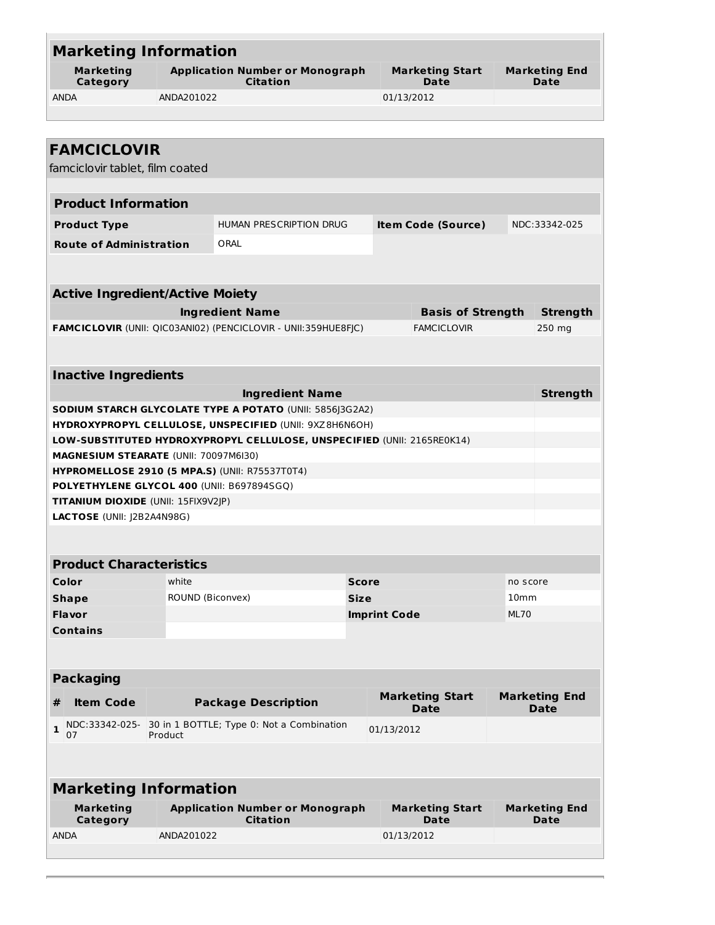| <b>Marketing Information</b>               |                                                                                                     |                                                                         |                     |            |                                       |             |                                     |  |
|--------------------------------------------|-----------------------------------------------------------------------------------------------------|-------------------------------------------------------------------------|---------------------|------------|---------------------------------------|-------------|-------------------------------------|--|
| <b>Marketing</b><br>Category               |                                                                                                     | <b>Application Number or Monograph</b><br><b>Citation</b>               |                     |            | <b>Marketing Start</b><br>Date        |             | <b>Marketing End</b><br>Date        |  |
| <b>ANDA</b>                                | ANDA201022                                                                                          |                                                                         |                     | 01/13/2012 |                                       |             |                                     |  |
|                                            |                                                                                                     |                                                                         |                     |            |                                       |             |                                     |  |
|                                            |                                                                                                     |                                                                         |                     |            |                                       |             |                                     |  |
| <b>FAMCICLOVIR</b>                         |                                                                                                     |                                                                         |                     |            |                                       |             |                                     |  |
| famciclovir tablet, film coated            |                                                                                                     |                                                                         |                     |            |                                       |             |                                     |  |
|                                            |                                                                                                     |                                                                         |                     |            |                                       |             |                                     |  |
| <b>Product Information</b>                 |                                                                                                     |                                                                         |                     |            |                                       |             |                                     |  |
| <b>Product Type</b>                        |                                                                                                     | HUMAN PRESCRIPTION DRUG                                                 |                     |            | <b>Item Code (Source)</b>             |             | NDC:33342-025                       |  |
| <b>Route of Administration</b>             |                                                                                                     | ORAL                                                                    |                     |            |                                       |             |                                     |  |
|                                            |                                                                                                     |                                                                         |                     |            |                                       |             |                                     |  |
|                                            |                                                                                                     |                                                                         |                     |            |                                       |             |                                     |  |
| <b>Active Ingredient/Active Moiety</b>     |                                                                                                     |                                                                         |                     |            |                                       |             |                                     |  |
|                                            |                                                                                                     | <b>Ingredient Name</b>                                                  |                     |            | <b>Basis of Strength</b>              |             | <b>Strength</b>                     |  |
|                                            |                                                                                                     | <b>FAMCICLOVIR (UNII: QIC03ANI02) (PENCICLOVIR - UNII:359HUE8FJC)</b>   |                     |            | <b>FAMCICLOVIR</b>                    |             | 250 mg                              |  |
|                                            |                                                                                                     |                                                                         |                     |            |                                       |             |                                     |  |
|                                            |                                                                                                     |                                                                         |                     |            |                                       |             |                                     |  |
| <b>Inactive Ingredients</b>                |                                                                                                     |                                                                         |                     |            |                                       |             |                                     |  |
|                                            |                                                                                                     | <b>Ingredient Name</b>                                                  |                     |            |                                       |             | <b>Strength</b>                     |  |
|                                            |                                                                                                     | SODIUM STARCH GLYCOLATE TYPE A POTATO (UNII: 5856]3G2A2)                |                     |            |                                       |             |                                     |  |
|                                            |                                                                                                     | HYDROXYPROPYL CELLULOSE, UNSPECIFIED (UNII: 9XZ8H6N6OH)                 |                     |            |                                       |             |                                     |  |
|                                            |                                                                                                     | LOW-SUBSTITUTED HYDROXYPROPYL CELLULOSE, UNSPECIFIED (UNII: 2165RE0K14) |                     |            |                                       |             |                                     |  |
|                                            | MAGNESIUM STEARATE (UNII: 70097M6I30)                                                               |                                                                         |                     |            |                                       |             |                                     |  |
|                                            | <b>HYPROMELLOSE 2910 (5 MPA.S) (UNII: R75537T0T4)</b><br>POLYETHYLENE GLYCOL 400 (UNII: B697894SGQ) |                                                                         |                     |            |                                       |             |                                     |  |
| <b>TITANIUM DIOXIDE (UNII: 15FIX9V2JP)</b> |                                                                                                     |                                                                         |                     |            |                                       |             |                                     |  |
| LACTOSE (UNII: J2B2A4N98G)                 |                                                                                                     |                                                                         |                     |            |                                       |             |                                     |  |
|                                            |                                                                                                     |                                                                         |                     |            |                                       |             |                                     |  |
|                                            |                                                                                                     |                                                                         |                     |            |                                       |             |                                     |  |
| <b>Product Characteristics</b>             |                                                                                                     |                                                                         |                     |            |                                       |             |                                     |  |
| Color                                      | white                                                                                               |                                                                         | <b>Score</b>        |            |                                       | no score    |                                     |  |
| <b>Shape</b>                               |                                                                                                     | ROUND (Biconvex)                                                        | <b>Size</b>         |            | 10 <sub>mm</sub>                      |             |                                     |  |
| <b>Flavor</b>                              |                                                                                                     |                                                                         | <b>Imprint Code</b> |            |                                       | <b>ML70</b> |                                     |  |
| <b>Contains</b>                            |                                                                                                     |                                                                         |                     |            |                                       |             |                                     |  |
|                                            |                                                                                                     |                                                                         |                     |            |                                       |             |                                     |  |
|                                            |                                                                                                     |                                                                         |                     |            |                                       |             |                                     |  |
| <b>Packaging</b>                           |                                                                                                     |                                                                         |                     |            |                                       |             |                                     |  |
| <b>Item Code</b><br>#                      |                                                                                                     | <b>Package Description</b>                                              |                     |            | <b>Marketing Start</b><br><b>Date</b> |             | <b>Marketing End</b><br><b>Date</b> |  |
| NDC:33342-025-<br>$\mathbf{1}$<br>07       | Product                                                                                             | 30 in 1 BOTTLE; Type 0: Not a Combination                               |                     | 01/13/2012 |                                       |             |                                     |  |
|                                            |                                                                                                     |                                                                         |                     |            |                                       |             |                                     |  |
| <b>Marketing Information</b>               |                                                                                                     |                                                                         |                     |            |                                       |             |                                     |  |
| <b>Marketing</b>                           |                                                                                                     | <b>Application Number or Monograph</b>                                  |                     |            | <b>Marketing Start</b>                |             | <b>Marketing End</b>                |  |
| Category                                   |                                                                                                     | <b>Citation</b>                                                         |                     |            | Date                                  |             | Date                                |  |
| <b>ANDA</b>                                | ANDA201022                                                                                          |                                                                         |                     | 01/13/2012 |                                       |             |                                     |  |
|                                            |                                                                                                     |                                                                         |                     |            |                                       |             |                                     |  |
|                                            |                                                                                                     |                                                                         |                     |            |                                       |             |                                     |  |